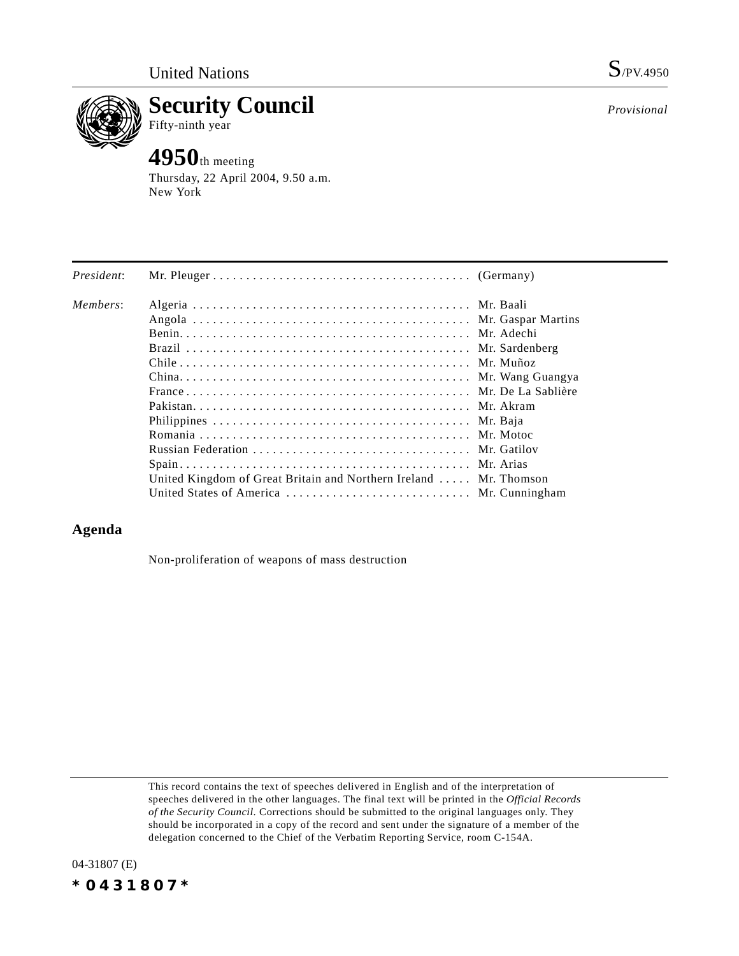

**Security Council**

Fifty-ninth year

# **4950**th meeting

Thursday, 22 April 2004, 9.50 a.m. New York

| President: |                                                                   |  |
|------------|-------------------------------------------------------------------|--|
| Members:   |                                                                   |  |
|            |                                                                   |  |
|            |                                                                   |  |
|            |                                                                   |  |
|            |                                                                   |  |
|            |                                                                   |  |
|            |                                                                   |  |
|            |                                                                   |  |
|            |                                                                   |  |
|            |                                                                   |  |
|            |                                                                   |  |
|            |                                                                   |  |
|            | United Kingdom of Great Britain and Northern Ireland  Mr. Thomson |  |
|            | United States of America  Mr. Cunningham                          |  |
|            |                                                                   |  |

## **Agenda**

Non-proliferation of weapons of mass destruction

This record contains the text of speeches delivered in English and of the interpretation of speeches delivered in the other languages. The final text will be printed in the *Official Records of the Security Council*. Corrections should be submitted to the original languages only. They should be incorporated in a copy of the record and sent under the signature of a member of the delegation concerned to the Chief of the Verbatim Reporting Service, room C-154A.

*Provisional*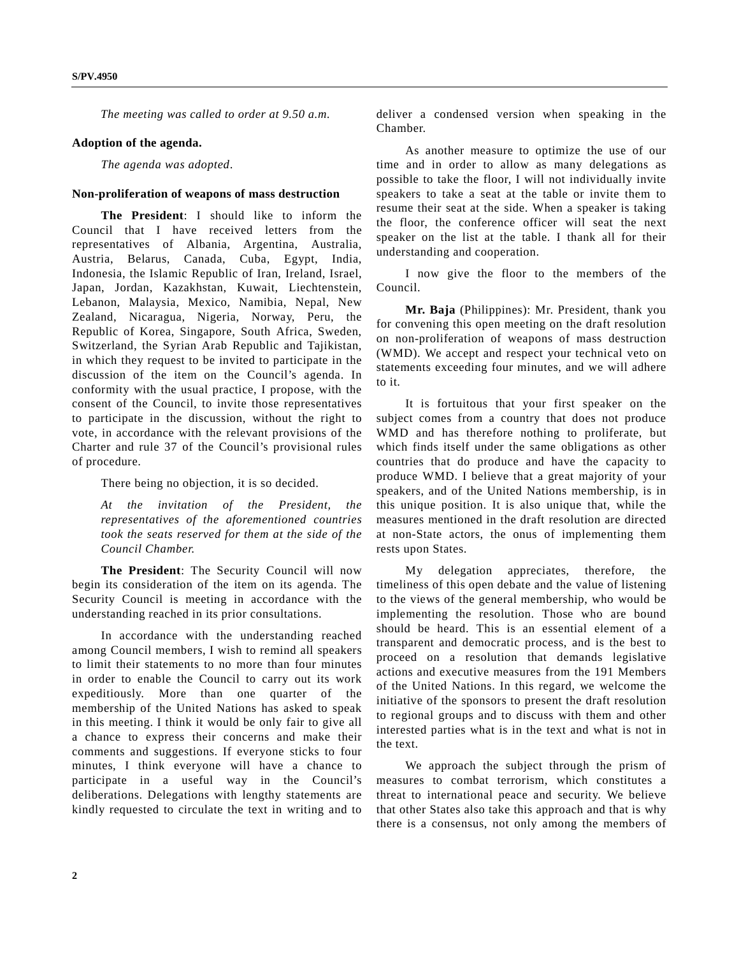*The meeting was called to order at 9.50 a.m.*

#### **Adoption of the agenda.**

*The agenda was adopted*.

#### **Non-proliferation of weapons of mass destruction**

**The President**: I should like to inform the Council that I have received letters from the representatives of Albania, Argentina, Australia, Austria, Belarus, Canada, Cuba, Egypt, India, Indonesia, the Islamic Republic of Iran, Ireland, Israel, Japan, Jordan, Kazakhstan, Kuwait, Liechtenstein, Lebanon, Malaysia, Mexico, Namibia, Nepal, New Zealand, Nicaragua, Nigeria, Norway, Peru, the Republic of Korea, Singapore, South Africa, Sweden, Switzerland, the Syrian Arab Republic and Tajikistan, in which they request to be invited to participate in the discussion of the item on the Council's agenda. In conformity with the usual practice, I propose, with the consent of the Council, to invite those representatives to participate in the discussion, without the right to vote, in accordance with the relevant provisions of the Charter and rule 37 of the Council's provisional rules of procedure.

There being no objection, it is so decided.

*At the invitation of the President, the representatives of the aforementioned countries took the seats reserved for them at the side of the Council Chamber.*

**The President**: The Security Council will now begin its consideration of the item on its agenda. The Security Council is meeting in accordance with the understanding reached in its prior consultations.

In accordance with the understanding reached among Council members, I wish to remind all speakers to limit their statements to no more than four minutes in order to enable the Council to carry out its work expeditiously. More than one quarter of the membership of the United Nations has asked to speak in this meeting. I think it would be only fair to give all a chance to express their concerns and make their comments and suggestions. If everyone sticks to four minutes, I think everyone will have a chance to participate in a useful way in the Council's deliberations. Delegations with lengthy statements are kindly requested to circulate the text in writing and to

deliver a condensed version when speaking in the Chamber.

As another measure to optimize the use of our time and in order to allow as many delegations as possible to take the floor, I will not individually invite speakers to take a seat at the table or invite them to resume their seat at the side. When a speaker is taking the floor, the conference officer will seat the next speaker on the list at the table. I thank all for their understanding and cooperation.

I now give the floor to the members of the Council.

**Mr. Baja** (Philippines): Mr. President, thank you for convening this open meeting on the draft resolution on non-proliferation of weapons of mass destruction (WMD). We accept and respect your technical veto on statements exceeding four minutes, and we will adhere to it.

It is fortuitous that your first speaker on the subject comes from a country that does not produce WMD and has therefore nothing to proliferate, but which finds itself under the same obligations as other countries that do produce and have the capacity to produce WMD. I believe that a great majority of your speakers, and of the United Nations membership, is in this unique position. It is also unique that, while the measures mentioned in the draft resolution are directed at non-State actors, the onus of implementing them rests upon States.

My delegation appreciates, therefore, the timeliness of this open debate and the value of listening to the views of the general membership, who would be implementing the resolution. Those who are bound should be heard. This is an essential element of a transparent and democratic process, and is the best to proceed on a resolution that demands legislative actions and executive measures from the 191 Members of the United Nations. In this regard, we welcome the initiative of the sponsors to present the draft resolution to regional groups and to discuss with them and other interested parties what is in the text and what is not in the text.

We approach the subject through the prism of measures to combat terrorism, which constitutes a threat to international peace and security. We believe that other States also take this approach and that is why there is a consensus, not only among the members of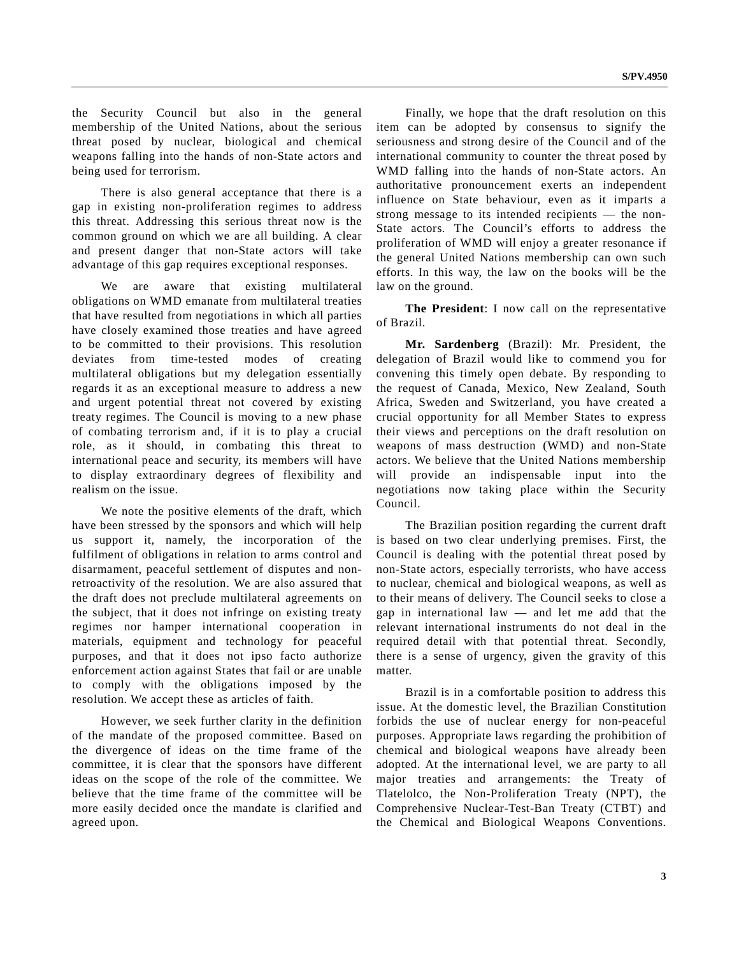the Security Council but also in the general membership of the United Nations, about the serious threat posed by nuclear, biological and chemical weapons falling into the hands of non-State actors and being used for terrorism.

There is also general acceptance that there is a gap in existing non-proliferation regimes to address this threat. Addressing this serious threat now is the common ground on which we are all building. A clear and present danger that non-State actors will take advantage of this gap requires exceptional responses.

We are aware that existing multilateral obligations on WMD emanate from multilateral treaties that have resulted from negotiations in which all parties have closely examined those treaties and have agreed to be committed to their provisions. This resolution deviates from time-tested modes of creating multilateral obligations but my delegation essentially regards it as an exceptional measure to address a new and urgent potential threat not covered by existing treaty regimes. The Council is moving to a new phase of combating terrorism and, if it is to play a crucial role, as it should, in combating this threat to international peace and security, its members will have to display extraordinary degrees of flexibility and realism on the issue.

We note the positive elements of the draft, which have been stressed by the sponsors and which will help us support it, namely, the incorporation of the fulfilment of obligations in relation to arms control and disarmament, peaceful settlement of disputes and nonretroactivity of the resolution. We are also assured that the draft does not preclude multilateral agreements on the subject, that it does not infringe on existing treaty regimes nor hamper international cooperation in materials, equipment and technology for peaceful purposes, and that it does not ipso facto authorize enforcement action against States that fail or are unable to comply with the obligations imposed by the resolution. We accept these as articles of faith.

However, we seek further clarity in the definition of the mandate of the proposed committee. Based on the divergence of ideas on the time frame of the committee, it is clear that the sponsors have different ideas on the scope of the role of the committee. We believe that the time frame of the committee will be more easily decided once the mandate is clarified and agreed upon.

Finally, we hope that the draft resolution on this item can be adopted by consensus to signify the seriousness and strong desire of the Council and of the international community to counter the threat posed by WMD falling into the hands of non-State actors. An authoritative pronouncement exerts an independent influence on State behaviour, even as it imparts a strong message to its intended recipients — the non-State actors. The Council's efforts to address the proliferation of WMD will enjoy a greater resonance if the general United Nations membership can own such efforts. In this way, the law on the books will be the law on the ground.

**The President**: I now call on the representative of Brazil.

**Mr. Sardenberg** (Brazil): Mr. President, the delegation of Brazil would like to commend you for convening this timely open debate. By responding to the request of Canada, Mexico, New Zealand, South Africa, Sweden and Switzerland, you have created a crucial opportunity for all Member States to express their views and perceptions on the draft resolution on weapons of mass destruction (WMD) and non-State actors. We believe that the United Nations membership will provide an indispensable input into the negotiations now taking place within the Security Council.

The Brazilian position regarding the current draft is based on two clear underlying premises. First, the Council is dealing with the potential threat posed by non-State actors, especially terrorists, who have access to nuclear, chemical and biological weapons, as well as to their means of delivery. The Council seeks to close a gap in international law — and let me add that the relevant international instruments do not deal in the required detail with that potential threat. Secondly, there is a sense of urgency, given the gravity of this matter.

Brazil is in a comfortable position to address this issue. At the domestic level, the Brazilian Constitution forbids the use of nuclear energy for non-peaceful purposes. Appropriate laws regarding the prohibition of chemical and biological weapons have already been adopted. At the international level, we are party to all major treaties and arrangements: the Treaty of Tlatelolco, the Non-Proliferation Treaty (NPT), the Comprehensive Nuclear-Test-Ban Treaty (CTBT) and the Chemical and Biological Weapons Conventions.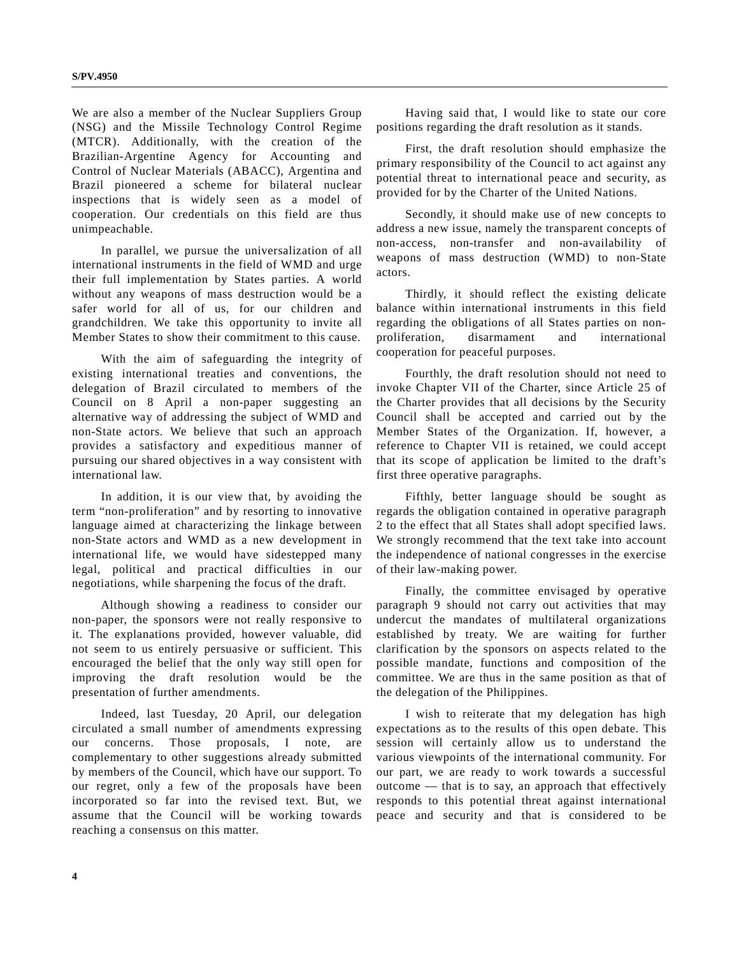We are also a member of the Nuclear Suppliers Group (NSG) and the Missile Technology Control Regime (MTCR). Additionally, with the creation of the Brazilian-Argentine Agency for Accounting and Control of Nuclear Materials (ABACC), Argentina and Brazil pioneered a scheme for bilateral nuclear inspections that is widely seen as a model of cooperation. Our credentials on this field are thus unimpeachable.

In parallel, we pursue the universalization of all international instruments in the field of WMD and urge their full implementation by States parties. A world without any weapons of mass destruction would be a safer world for all of us, for our children and grandchildren. We take this opportunity to invite all Member States to show their commitment to this cause.

With the aim of safeguarding the integrity of existing international treaties and conventions, the delegation of Brazil circulated to members of the Council on 8 April a non-paper suggesting an alternative way of addressing the subject of WMD and non-State actors. We believe that such an approach provides a satisfactory and expeditious manner of pursuing our shared objectives in a way consistent with international law.

In addition, it is our view that, by avoiding the term "non-proliferation" and by resorting to innovative language aimed at characterizing the linkage between non-State actors and WMD as a new development in international life, we would have sidestepped many legal, political and practical difficulties in our negotiations, while sharpening the focus of the draft.

Although showing a readiness to consider our non-paper, the sponsors were not really responsive to it. The explanations provided, however valuable, did not seem to us entirely persuasive or sufficient. This encouraged the belief that the only way still open for improving the draft resolution would be the presentation of further amendments.

Indeed, last Tuesday, 20 April, our delegation circulated a small number of amendments expressing our concerns. Those proposals, I note, are complementary to other suggestions already submitted by members of the Council, which have our support. To our regret, only a few of the proposals have been incorporated so far into the revised text. But, we assume that the Council will be working towards reaching a consensus on this matter.

Having said that, I would like to state our core positions regarding the draft resolution as it stands.

First, the draft resolution should emphasize the primary responsibility of the Council to act against any potential threat to international peace and security, as provided for by the Charter of the United Nations.

Secondly, it should make use of new concepts to address a new issue, namely the transparent concepts of non-access, non-transfer and non-availability of weapons of mass destruction (WMD) to non-State actors.

Thirdly, it should reflect the existing delicate balance within international instruments in this field regarding the obligations of all States parties on nonproliferation, disarmament and international cooperation for peaceful purposes.

Fourthly, the draft resolution should not need to invoke Chapter VII of the Charter, since Article 25 of the Charter provides that all decisions by the Security Council shall be accepted and carried out by the Member States of the Organization. If, however, a reference to Chapter VII is retained, we could accept that its scope of application be limited to the draft's first three operative paragraphs.

Fifthly, better language should be sought as regards the obligation contained in operative paragraph 2 to the effect that all States shall adopt specified laws. We strongly recommend that the text take into account the independence of national congresses in the exercise of their law-making power.

Finally, the committee envisaged by operative paragraph 9 should not carry out activities that may undercut the mandates of multilateral organizations established by treaty. We are waiting for further clarification by the sponsors on aspects related to the possible mandate, functions and composition of the committee. We are thus in the same position as that of the delegation of the Philippines.

I wish to reiterate that my delegation has high expectations as to the results of this open debate. This session will certainly allow us to understand the various viewpoints of the international community. For our part, we are ready to work towards a successful outcome — that is to say, an approach that effectively responds to this potential threat against international peace and security and that is considered to be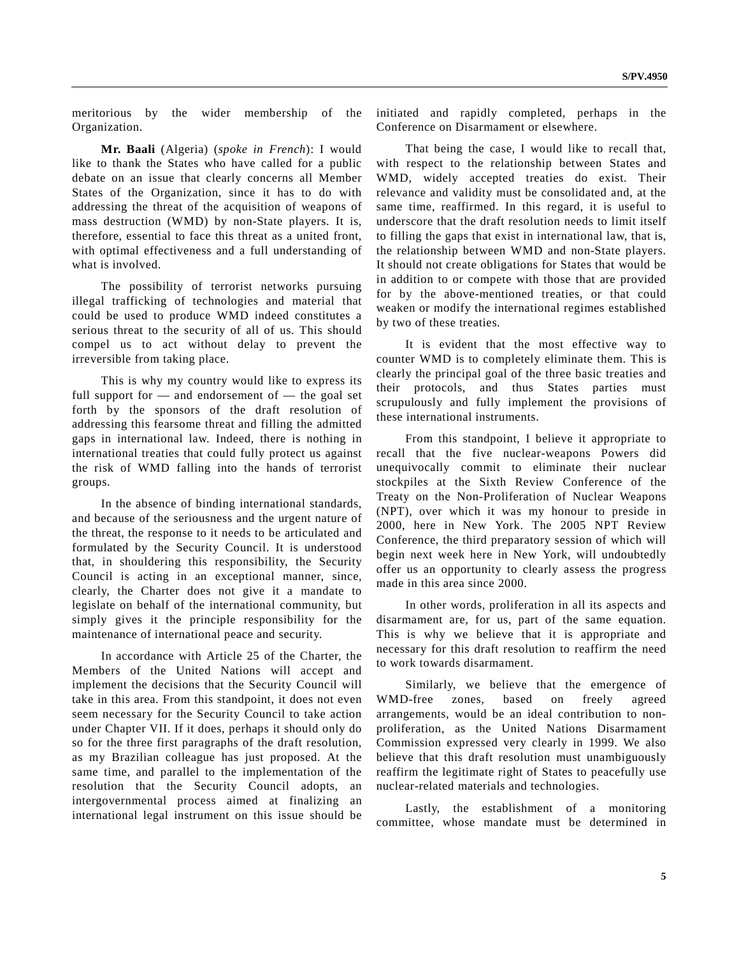meritorious by the wider membership of the Organization.

**Mr. Baali** (Algeria) (*spoke in French*): I would like to thank the States who have called for a public debate on an issue that clearly concerns all Member States of the Organization, since it has to do with addressing the threat of the acquisition of weapons of mass destruction (WMD) by non-State players. It is, therefore, essential to face this threat as a united front, with optimal effectiveness and a full understanding of what is involved.

The possibility of terrorist networks pursuing illegal trafficking of technologies and material that could be used to produce WMD indeed constitutes a serious threat to the security of all of us. This should compel us to act without delay to prevent the irreversible from taking place.

This is why my country would like to express its full support for  $-$  and endorsement of  $-$  the goal set forth by the sponsors of the draft resolution of addressing this fearsome threat and filling the admitted gaps in international law. Indeed, there is nothing in international treaties that could fully protect us against the risk of WMD falling into the hands of terrorist groups.

In the absence of binding international standards, and because of the seriousness and the urgent nature of the threat, the response to it needs to be articulated and formulated by the Security Council. It is understood that, in shouldering this responsibility, the Security Council is acting in an exceptional manner, since, clearly, the Charter does not give it a mandate to legislate on behalf of the international community, but simply gives it the principle responsibility for the maintenance of international peace and security.

In accordance with Article 25 of the Charter, the Members of the United Nations will accept and implement the decisions that the Security Council will take in this area. From this standpoint, it does not even seem necessary for the Security Council to take action under Chapter VII. If it does, perhaps it should only do so for the three first paragraphs of the draft resolution, as my Brazilian colleague has just proposed. At the same time, and parallel to the implementation of the resolution that the Security Council adopts, an intergovernmental process aimed at finalizing an international legal instrument on this issue should be initiated and rapidly completed, perhaps in the Conference on Disarmament or elsewhere.

That being the case, I would like to recall that, with respect to the relationship between States and WMD, widely accepted treaties do exist. Their relevance and validity must be consolidated and, at the same time, reaffirmed. In this regard, it is useful to underscore that the draft resolution needs to limit itself to filling the gaps that exist in international law, that is, the relationship between WMD and non-State players. It should not create obligations for States that would be in addition to or compete with those that are provided for by the above-mentioned treaties, or that could weaken or modify the international regimes established by two of these treaties.

It is evident that the most effective way to counter WMD is to completely eliminate them. This is clearly the principal goal of the three basic treaties and their protocols, and thus States parties must scrupulously and fully implement the provisions of these international instruments.

From this standpoint, I believe it appropriate to recall that the five nuclear-weapons Powers did unequivocally commit to eliminate their nuclear stockpiles at the Sixth Review Conference of the Treaty on the Non-Proliferation of Nuclear Weapons (NPT), over which it was my honour to preside in 2000, here in New York. The 2005 NPT Review Conference, the third preparatory session of which will begin next week here in New York, will undoubtedly offer us an opportunity to clearly assess the progress made in this area since 2000.

In other words, proliferation in all its aspects and disarmament are, for us, part of the same equation. This is why we believe that it is appropriate and necessary for this draft resolution to reaffirm the need to work towards disarmament.

Similarly, we believe that the emergence of WMD-free zones, based on freely agreed arrangements, would be an ideal contribution to nonproliferation, as the United Nations Disarmament Commission expressed very clearly in 1999. We also believe that this draft resolution must unambiguously reaffirm the legitimate right of States to peacefully use nuclear-related materials and technologies.

Lastly, the establishment of a monitoring committee, whose mandate must be determined in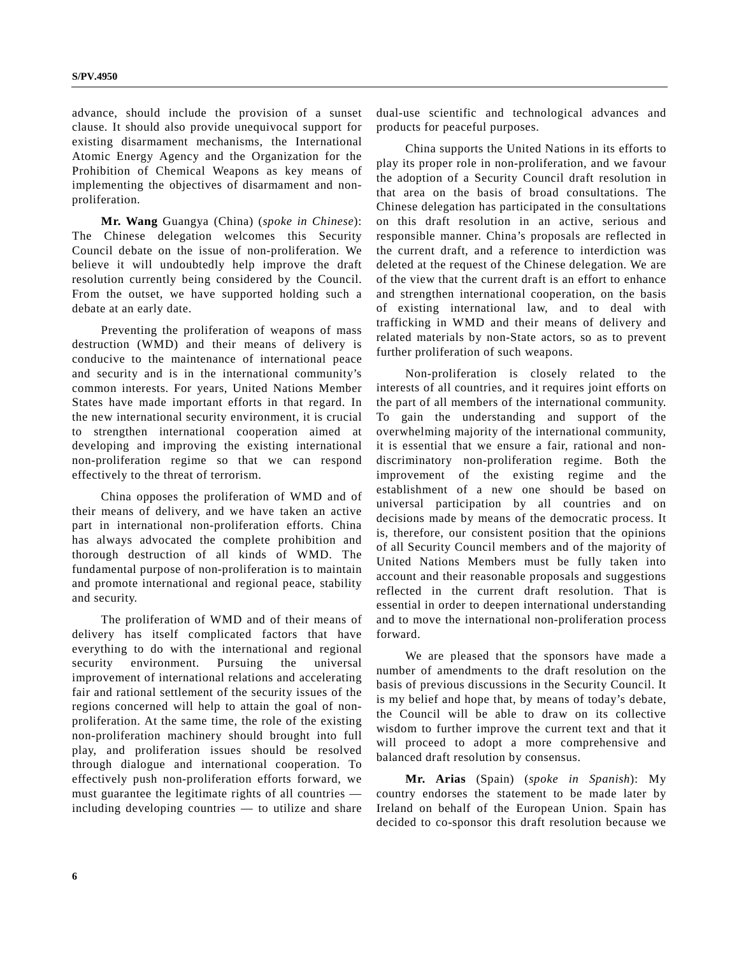advance, should include the provision of a sunset clause. It should also provide unequivocal support for existing disarmament mechanisms, the International Atomic Energy Agency and the Organization for the Prohibition of Chemical Weapons as key means of implementing the objectives of disarmament and nonproliferation.

**Mr. Wang** Guangya (China) (*spoke in Chinese*): The Chinese delegation welcomes this Security Council debate on the issue of non-proliferation. We believe it will undoubtedly help improve the draft resolution currently being considered by the Council. From the outset, we have supported holding such a debate at an early date.

Preventing the proliferation of weapons of mass destruction (WMD) and their means of delivery is conducive to the maintenance of international peace and security and is in the international community's common interests. For years, United Nations Member States have made important efforts in that regard. In the new international security environment, it is crucial to strengthen international cooperation aimed at developing and improving the existing international non-proliferation regime so that we can respond effectively to the threat of terrorism.

China opposes the proliferation of WMD and of their means of delivery, and we have taken an active part in international non-proliferation efforts. China has always advocated the complete prohibition and thorough destruction of all kinds of WMD. The fundamental purpose of non-proliferation is to maintain and promote international and regional peace, stability and security.

The proliferation of WMD and of their means of delivery has itself complicated factors that have everything to do with the international and regional security environment. Pursuing the universal improvement of international relations and accelerating fair and rational settlement of the security issues of the regions concerned will help to attain the goal of nonproliferation. At the same time, the role of the existing non-proliferation machinery should brought into full play, and proliferation issues should be resolved through dialogue and international cooperation. To effectively push non-proliferation efforts forward, we must guarantee the legitimate rights of all countries including developing countries — to utilize and share

dual-use scientific and technological advances and products for peaceful purposes.

China supports the United Nations in its efforts to play its proper role in non-proliferation, and we favour the adoption of a Security Council draft resolution in that area on the basis of broad consultations. The Chinese delegation has participated in the consultations on this draft resolution in an active, serious and responsible manner. China's proposals are reflected in the current draft, and a reference to interdiction was deleted at the request of the Chinese delegation. We are of the view that the current draft is an effort to enhance and strengthen international cooperation, on the basis of existing international law, and to deal with trafficking in WMD and their means of delivery and related materials by non-State actors, so as to prevent further proliferation of such weapons.

Non-proliferation is closely related to the interests of all countries, and it requires joint efforts on the part of all members of the international community. To gain the understanding and support of the overwhelming majority of the international community, it is essential that we ensure a fair, rational and nondiscriminatory non-proliferation regime. Both the improvement of the existing regime and the establishment of a new one should be based on universal participation by all countries and on decisions made by means of the democratic process. It is, therefore, our consistent position that the opinions of all Security Council members and of the majority of United Nations Members must be fully taken into account and their reasonable proposals and suggestions reflected in the current draft resolution. That is essential in order to deepen international understanding and to move the international non-proliferation process forward.

We are pleased that the sponsors have made a number of amendments to the draft resolution on the basis of previous discussions in the Security Council. It is my belief and hope that, by means of today's debate, the Council will be able to draw on its collective wisdom to further improve the current text and that it will proceed to adopt a more comprehensive and balanced draft resolution by consensus.

**Mr. Arias** (Spain) (*spoke in Spanish*): My country endorses the statement to be made later by Ireland on behalf of the European Union. Spain has decided to co-sponsor this draft resolution because we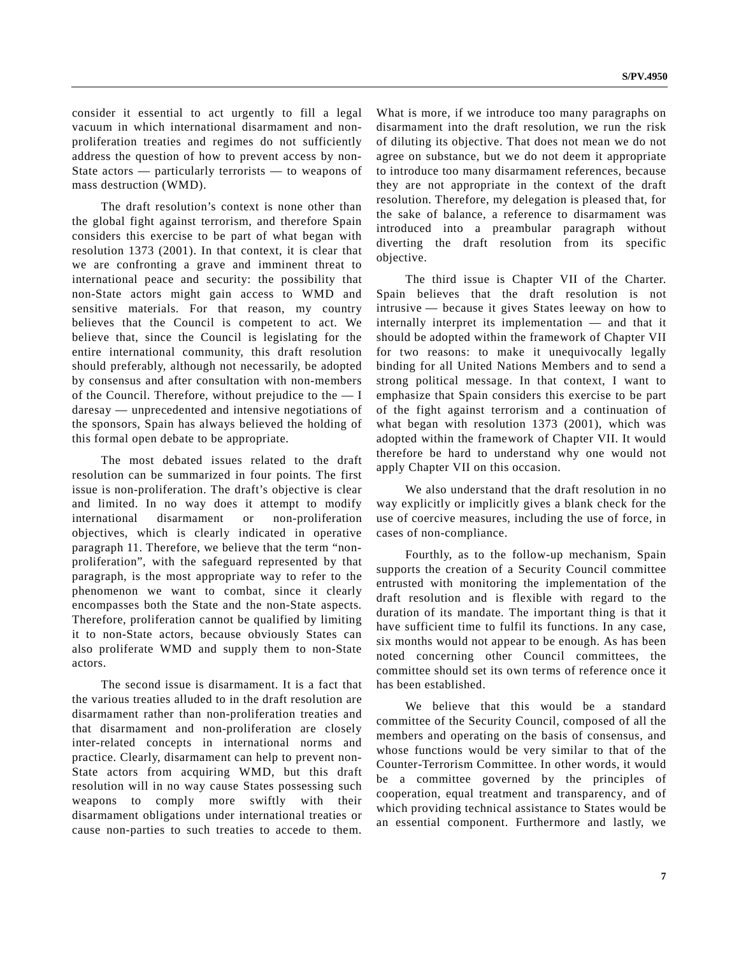consider it essential to act urgently to fill a legal vacuum in which international disarmament and nonproliferation treaties and regimes do not sufficiently address the question of how to prevent access by non-State actors — particularly terrorists — to weapons of mass destruction (WMD).

The draft resolution's context is none other than the global fight against terrorism, and therefore Spain considers this exercise to be part of what began with resolution 1373 (2001). In that context, it is clear that we are confronting a grave and imminent threat to international peace and security: the possibility that non-State actors might gain access to WMD and sensitive materials. For that reason, my country believes that the Council is competent to act. We believe that, since the Council is legislating for the entire international community, this draft resolution should preferably, although not necessarily, be adopted by consensus and after consultation with non-members of the Council. Therefore, without prejudice to the  $- I$ daresay — unprecedented and intensive negotiations of the sponsors, Spain has always believed the holding of this formal open debate to be appropriate.

The most debated issues related to the draft resolution can be summarized in four points. The first issue is non-proliferation. The draft's objective is clear and limited. In no way does it attempt to modify international disarmament or non-proliferation objectives, which is clearly indicated in operative paragraph 11. Therefore, we believe that the term "nonproliferation", with the safeguard represented by that paragraph, is the most appropriate way to refer to the phenomenon we want to combat, since it clearly encompasses both the State and the non-State aspects. Therefore, proliferation cannot be qualified by limiting it to non-State actors, because obviously States can also proliferate WMD and supply them to non-State actors.

The second issue is disarmament. It is a fact that the various treaties alluded to in the draft resolution are disarmament rather than non-proliferation treaties and that disarmament and non-proliferation are closely inter-related concepts in international norms and practice. Clearly, disarmament can help to prevent non-State actors from acquiring WMD, but this draft resolution will in no way cause States possessing such weapons to comply more swiftly with their disarmament obligations under international treaties or cause non-parties to such treaties to accede to them.

What is more, if we introduce too many paragraphs on disarmament into the draft resolution, we run the risk of diluting its objective. That does not mean we do not agree on substance, but we do not deem it appropriate to introduce too many disarmament references, because they are not appropriate in the context of the draft resolution. Therefore, my delegation is pleased that, for the sake of balance, a reference to disarmament was introduced into a preambular paragraph without diverting the draft resolution from its specific objective.

The third issue is Chapter VII of the Charter. Spain believes that the draft resolution is not intrusive — because it gives States leeway on how to internally interpret its implementation — and that it should be adopted within the framework of Chapter VII for two reasons: to make it unequivocally legally binding for all United Nations Members and to send a strong political message. In that context, I want to emphasize that Spain considers this exercise to be part of the fight against terrorism and a continuation of what began with resolution 1373 (2001), which was adopted within the framework of Chapter VII. It would therefore be hard to understand why one would not apply Chapter VII on this occasion.

We also understand that the draft resolution in no way explicitly or implicitly gives a blank check for the use of coercive measures, including the use of force, in cases of non-compliance.

Fourthly, as to the follow-up mechanism, Spain supports the creation of a Security Council committee entrusted with monitoring the implementation of the draft resolution and is flexible with regard to the duration of its mandate. The important thing is that it have sufficient time to fulfil its functions. In any case, six months would not appear to be enough. As has been noted concerning other Council committees, the committee should set its own terms of reference once it has been established.

We believe that this would be a standard committee of the Security Council, composed of all the members and operating on the basis of consensus, and whose functions would be very similar to that of the Counter-Terrorism Committee. In other words, it would be a committee governed by the principles of cooperation, equal treatment and transparency, and of which providing technical assistance to States would be an essential component. Furthermore and lastly, we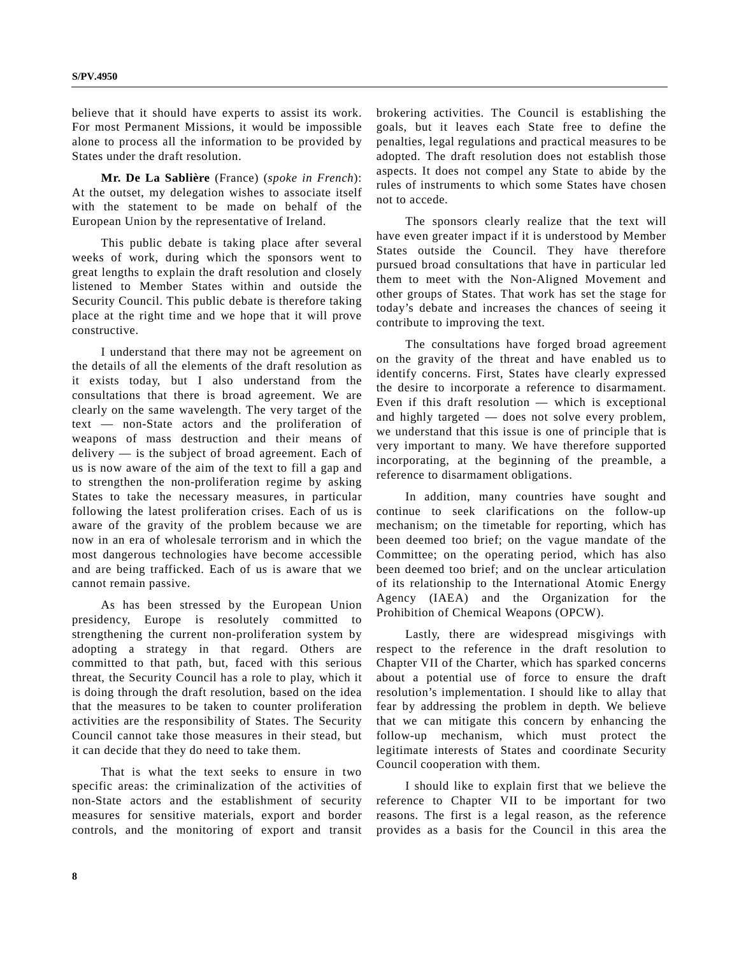believe that it should have experts to assist its work. For most Permanent Missions, it would be impossible alone to process all the information to be provided by States under the draft resolution.

**Mr. De La Sablière** (France) (*spoke in French*): At the outset, my delegation wishes to associate itself with the statement to be made on behalf of the European Union by the representative of Ireland.

This public debate is taking place after several weeks of work, during which the sponsors went to great lengths to explain the draft resolution and closely listened to Member States within and outside the Security Council. This public debate is therefore taking place at the right time and we hope that it will prove constructive.

I understand that there may not be agreement on the details of all the elements of the draft resolution as it exists today, but I also understand from the consultations that there is broad agreement. We are clearly on the same wavelength. The very target of the text — non-State actors and the proliferation of weapons of mass destruction and their means of delivery — is the subject of broad agreement. Each of us is now aware of the aim of the text to fill a gap and to strengthen the non-proliferation regime by asking States to take the necessary measures, in particular following the latest proliferation crises. Each of us is aware of the gravity of the problem because we are now in an era of wholesale terrorism and in which the most dangerous technologies have become accessible and are being trafficked. Each of us is aware that we cannot remain passive.

As has been stressed by the European Union presidency, Europe is resolutely committed to strengthening the current non-proliferation system by adopting a strategy in that regard. Others are committed to that path, but, faced with this serious threat, the Security Council has a role to play, which it is doing through the draft resolution, based on the idea that the measures to be taken to counter proliferation activities are the responsibility of States. The Security Council cannot take those measures in their stead, but it can decide that they do need to take them.

That is what the text seeks to ensure in two specific areas: the criminalization of the activities of non-State actors and the establishment of security measures for sensitive materials, export and border controls, and the monitoring of export and transit brokering activities. The Council is establishing the goals, but it leaves each State free to define the penalties, legal regulations and practical measures to be adopted. The draft resolution does not establish those aspects. It does not compel any State to abide by the rules of instruments to which some States have chosen not to accede.

The sponsors clearly realize that the text will have even greater impact if it is understood by Member States outside the Council. They have therefore pursued broad consultations that have in particular led them to meet with the Non-Aligned Movement and other groups of States. That work has set the stage for today's debate and increases the chances of seeing it contribute to improving the text.

The consultations have forged broad agreement on the gravity of the threat and have enabled us to identify concerns. First, States have clearly expressed the desire to incorporate a reference to disarmament. Even if this draft resolution — which is exceptional and highly targeted — does not solve every problem, we understand that this issue is one of principle that is very important to many. We have therefore supported incorporating, at the beginning of the preamble, a reference to disarmament obligations.

In addition, many countries have sought and continue to seek clarifications on the follow-up mechanism; on the timetable for reporting, which has been deemed too brief; on the vague mandate of the Committee; on the operating period, which has also been deemed too brief; and on the unclear articulation of its relationship to the International Atomic Energy Agency (IAEA) and the Organization for the Prohibition of Chemical Weapons (OPCW).

Lastly, there are widespread misgivings with respect to the reference in the draft resolution to Chapter VII of the Charter, which has sparked concerns about a potential use of force to ensure the draft resolution's implementation. I should like to allay that fear by addressing the problem in depth. We believe that we can mitigate this concern by enhancing the follow-up mechanism, which must protect the legitimate interests of States and coordinate Security Council cooperation with them.

I should like to explain first that we believe the reference to Chapter VII to be important for two reasons. The first is a legal reason, as the reference provides as a basis for the Council in this area the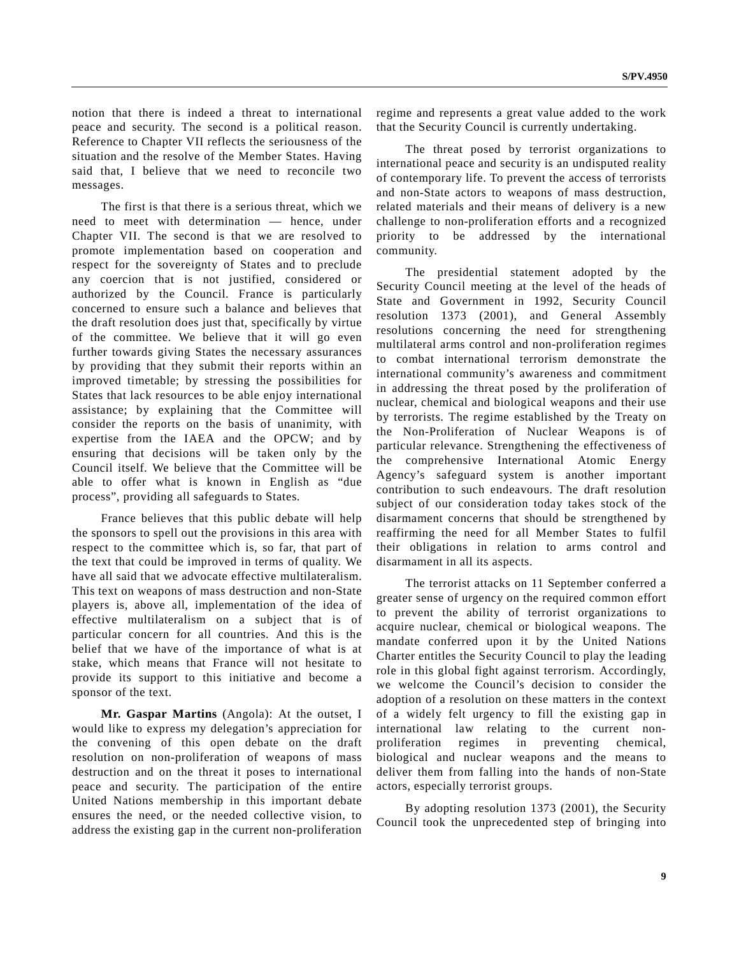notion that there is indeed a threat to international peace and security. The second is a political reason. Reference to Chapter VII reflects the seriousness of the situation and the resolve of the Member States. Having said that, I believe that we need to reconcile two messages.

The first is that there is a serious threat, which we need to meet with determination — hence, under Chapter VII. The second is that we are resolved to promote implementation based on cooperation and respect for the sovereignty of States and to preclude any coercion that is not justified, considered or authorized by the Council. France is particularly concerned to ensure such a balance and believes that the draft resolution does just that, specifically by virtue of the committee. We believe that it will go even further towards giving States the necessary assurances by providing that they submit their reports within an improved timetable; by stressing the possibilities for States that lack resources to be able enjoy international assistance; by explaining that the Committee will consider the reports on the basis of unanimity, with expertise from the IAEA and the OPCW; and by ensuring that decisions will be taken only by the Council itself. We believe that the Committee will be able to offer what is known in English as "due process", providing all safeguards to States.

France believes that this public debate will help the sponsors to spell out the provisions in this area with respect to the committee which is, so far, that part of the text that could be improved in terms of quality. We have all said that we advocate effective multilateralism. This text on weapons of mass destruction and non-State players is, above all, implementation of the idea of effective multilateralism on a subject that is of particular concern for all countries. And this is the belief that we have of the importance of what is at stake, which means that France will not hesitate to provide its support to this initiative and become a sponsor of the text.

**Mr. Gaspar Martins** (Angola): At the outset, I would like to express my delegation's appreciation for the convening of this open debate on the draft resolution on non-proliferation of weapons of mass destruction and on the threat it poses to international peace and security. The participation of the entire United Nations membership in this important debate ensures the need, or the needed collective vision, to address the existing gap in the current non-proliferation

regime and represents a great value added to the work that the Security Council is currently undertaking.

The threat posed by terrorist organizations to international peace and security is an undisputed reality of contemporary life. To prevent the access of terrorists and non-State actors to weapons of mass destruction, related materials and their means of delivery is a new challenge to non-proliferation efforts and a recognized priority to be addressed by the international community.

The presidential statement adopted by the Security Council meeting at the level of the heads of State and Government in 1992, Security Council resolution 1373 (2001), and General Assembly resolutions concerning the need for strengthening multilateral arms control and non-proliferation regimes to combat international terrorism demonstrate the international community's awareness and commitment in addressing the threat posed by the proliferation of nuclear, chemical and biological weapons and their use by terrorists. The regime established by the Treaty on the Non-Proliferation of Nuclear Weapons is of particular relevance. Strengthening the effectiveness of the comprehensive International Atomic Energy Agency's safeguard system is another important contribution to such endeavours. The draft resolution subject of our consideration today takes stock of the disarmament concerns that should be strengthened by reaffirming the need for all Member States to fulfil their obligations in relation to arms control and disarmament in all its aspects.

The terrorist attacks on 11 September conferred a greater sense of urgency on the required common effort to prevent the ability of terrorist organizations to acquire nuclear, chemical or biological weapons. The mandate conferred upon it by the United Nations Charter entitles the Security Council to play the leading role in this global fight against terrorism. Accordingly, we welcome the Council's decision to consider the adoption of a resolution on these matters in the context of a widely felt urgency to fill the existing gap in international law relating to the current nonproliferation regimes in preventing chemical, biological and nuclear weapons and the means to deliver them from falling into the hands of non-State actors, especially terrorist groups.

By adopting resolution 1373 (2001), the Security Council took the unprecedented step of bringing into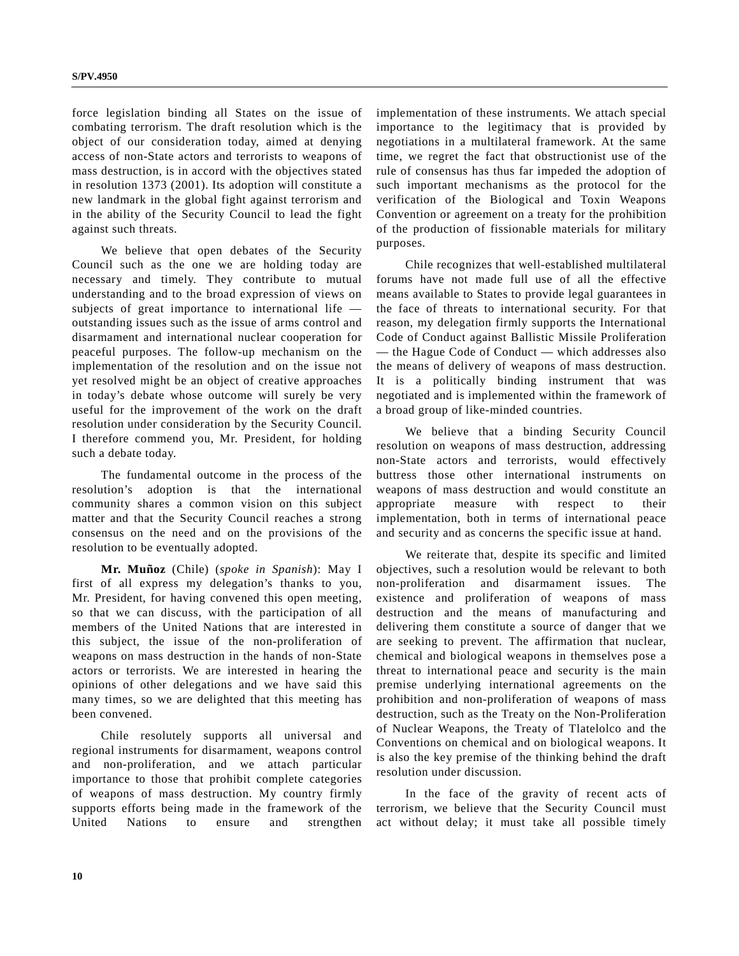force legislation binding all States on the issue of combating terrorism. The draft resolution which is the object of our consideration today, aimed at denying access of non-State actors and terrorists to weapons of mass destruction, is in accord with the objectives stated in resolution 1373 (2001). Its adoption will constitute a new landmark in the global fight against terrorism and in the ability of the Security Council to lead the fight against such threats.

We believe that open debates of the Security Council such as the one we are holding today are necessary and timely. They contribute to mutual understanding and to the broad expression of views on subjects of great importance to international life outstanding issues such as the issue of arms control and disarmament and international nuclear cooperation for peaceful purposes. The follow-up mechanism on the implementation of the resolution and on the issue not yet resolved might be an object of creative approaches in today's debate whose outcome will surely be very useful for the improvement of the work on the draft resolution under consideration by the Security Council. I therefore commend you, Mr. President, for holding such a debate today.

The fundamental outcome in the process of the resolution's adoption is that the international community shares a common vision on this subject matter and that the Security Council reaches a strong consensus on the need and on the provisions of the resolution to be eventually adopted.

**Mr. Muñoz** (Chile) (*spoke in Spanish*): May I first of all express my delegation's thanks to you, Mr. President, for having convened this open meeting, so that we can discuss, with the participation of all members of the United Nations that are interested in this subject, the issue of the non-proliferation of weapons on mass destruction in the hands of non-State actors or terrorists. We are interested in hearing the opinions of other delegations and we have said this many times, so we are delighted that this meeting has been convened.

Chile resolutely supports all universal and regional instruments for disarmament, weapons control and non-proliferation, and we attach particular importance to those that prohibit complete categories of weapons of mass destruction. My country firmly supports efforts being made in the framework of the United Nations to ensure and strengthen implementation of these instruments. We attach special importance to the legitimacy that is provided by negotiations in a multilateral framework. At the same time, we regret the fact that obstructionist use of the rule of consensus has thus far impeded the adoption of such important mechanisms as the protocol for the verification of the Biological and Toxin Weapons Convention or agreement on a treaty for the prohibition of the production of fissionable materials for military purposes.

Chile recognizes that well-established multilateral forums have not made full use of all the effective means available to States to provide legal guarantees in the face of threats to international security. For that reason, my delegation firmly supports the International Code of Conduct against Ballistic Missile Proliferation — the Hague Code of Conduct — which addresses also the means of delivery of weapons of mass destruction. It is a politically binding instrument that was negotiated and is implemented within the framework of a broad group of like-minded countries.

We believe that a binding Security Council resolution on weapons of mass destruction, addressing non-State actors and terrorists, would effectively buttress those other international instruments on weapons of mass destruction and would constitute an appropriate measure with respect to their implementation, both in terms of international peace and security and as concerns the specific issue at hand.

We reiterate that, despite its specific and limited objectives, such a resolution would be relevant to both non-proliferation and disarmament issues. The existence and proliferation of weapons of mass destruction and the means of manufacturing and delivering them constitute a source of danger that we are seeking to prevent. The affirmation that nuclear, chemical and biological weapons in themselves pose a threat to international peace and security is the main premise underlying international agreements on the prohibition and non-proliferation of weapons of mass destruction, such as the Treaty on the Non-Proliferation of Nuclear Weapons, the Treaty of Tlatelolco and the Conventions on chemical and on biological weapons. It is also the key premise of the thinking behind the draft resolution under discussion.

In the face of the gravity of recent acts of terrorism, we believe that the Security Council must act without delay; it must take all possible timely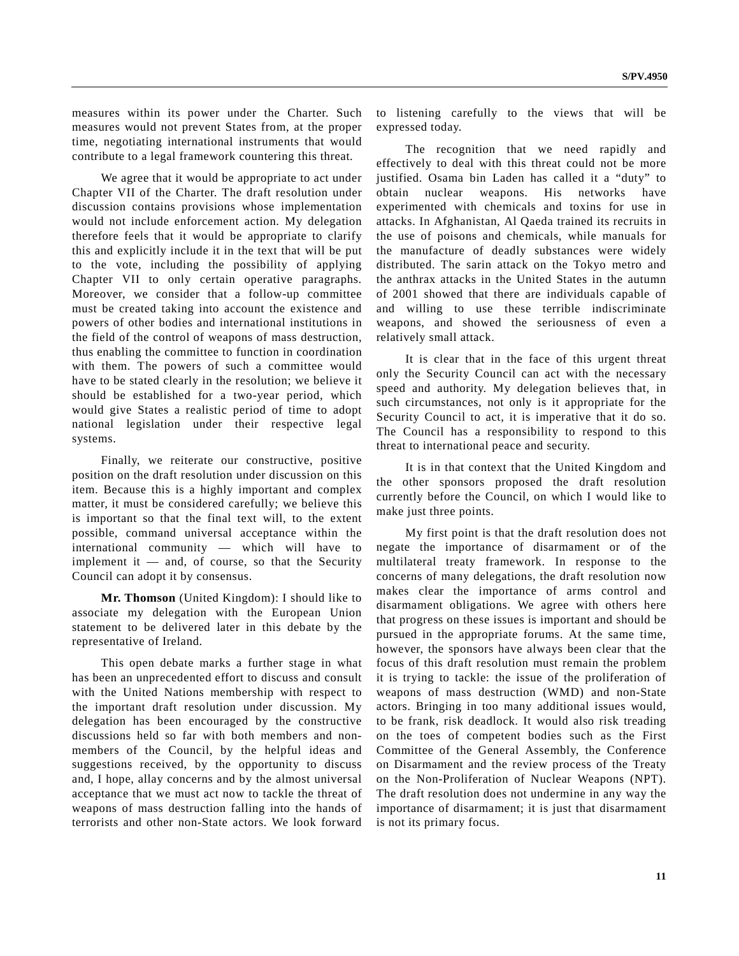measures within its power under the Charter. Such measures would not prevent States from, at the proper time, negotiating international instruments that would contribute to a legal framework countering this threat.

We agree that it would be appropriate to act under Chapter VII of the Charter. The draft resolution under discussion contains provisions whose implementation would not include enforcement action. My delegation therefore feels that it would be appropriate to clarify this and explicitly include it in the text that will be put to the vote, including the possibility of applying Chapter VII to only certain operative paragraphs. Moreover, we consider that a follow-up committee must be created taking into account the existence and powers of other bodies and international institutions in the field of the control of weapons of mass destruction, thus enabling the committee to function in coordination with them. The powers of such a committee would have to be stated clearly in the resolution; we believe it should be established for a two-year period, which would give States a realistic period of time to adopt national legislation under their respective legal systems.

Finally, we reiterate our constructive, positive position on the draft resolution under discussion on this item. Because this is a highly important and complex matter, it must be considered carefully; we believe this is important so that the final text will, to the extent possible, command universal acceptance within the international community — which will have to implement it — and, of course, so that the Security Council can adopt it by consensus.

**Mr. Thomson** (United Kingdom): I should like to associate my delegation with the European Union statement to be delivered later in this debate by the representative of Ireland.

This open debate marks a further stage in what has been an unprecedented effort to discuss and consult with the United Nations membership with respect to the important draft resolution under discussion. My delegation has been encouraged by the constructive discussions held so far with both members and nonmembers of the Council, by the helpful ideas and suggestions received, by the opportunity to discuss and, I hope, allay concerns and by the almost universal acceptance that we must act now to tackle the threat of weapons of mass destruction falling into the hands of terrorists and other non-State actors. We look forward

to listening carefully to the views that will be expressed today.

The recognition that we need rapidly and effectively to deal with this threat could not be more justified. Osama bin Laden has called it a "duty" to obtain nuclear weapons. His networks have experimented with chemicals and toxins for use in attacks. In Afghanistan, Al Qaeda trained its recruits in the use of poisons and chemicals, while manuals for the manufacture of deadly substances were widely distributed. The sarin attack on the Tokyo metro and the anthrax attacks in the United States in the autumn of 2001 showed that there are individuals capable of and willing to use these terrible indiscriminate weapons, and showed the seriousness of even a relatively small attack.

It is clear that in the face of this urgent threat only the Security Council can act with the necessary speed and authority. My delegation believes that, in such circumstances, not only is it appropriate for the Security Council to act, it is imperative that it do so. The Council has a responsibility to respond to this threat to international peace and security.

It is in that context that the United Kingdom and the other sponsors proposed the draft resolution currently before the Council, on which I would like to make just three points.

My first point is that the draft resolution does not negate the importance of disarmament or of the multilateral treaty framework. In response to the concerns of many delegations, the draft resolution now makes clear the importance of arms control and disarmament obligations. We agree with others here that progress on these issues is important and should be pursued in the appropriate forums. At the same time, however, the sponsors have always been clear that the focus of this draft resolution must remain the problem it is trying to tackle: the issue of the proliferation of weapons of mass destruction (WMD) and non-State actors. Bringing in too many additional issues would, to be frank, risk deadlock. It would also risk treading on the toes of competent bodies such as the First Committee of the General Assembly, the Conference on Disarmament and the review process of the Treaty on the Non-Proliferation of Nuclear Weapons (NPT). The draft resolution does not undermine in any way the importance of disarmament; it is just that disarmament is not its primary focus.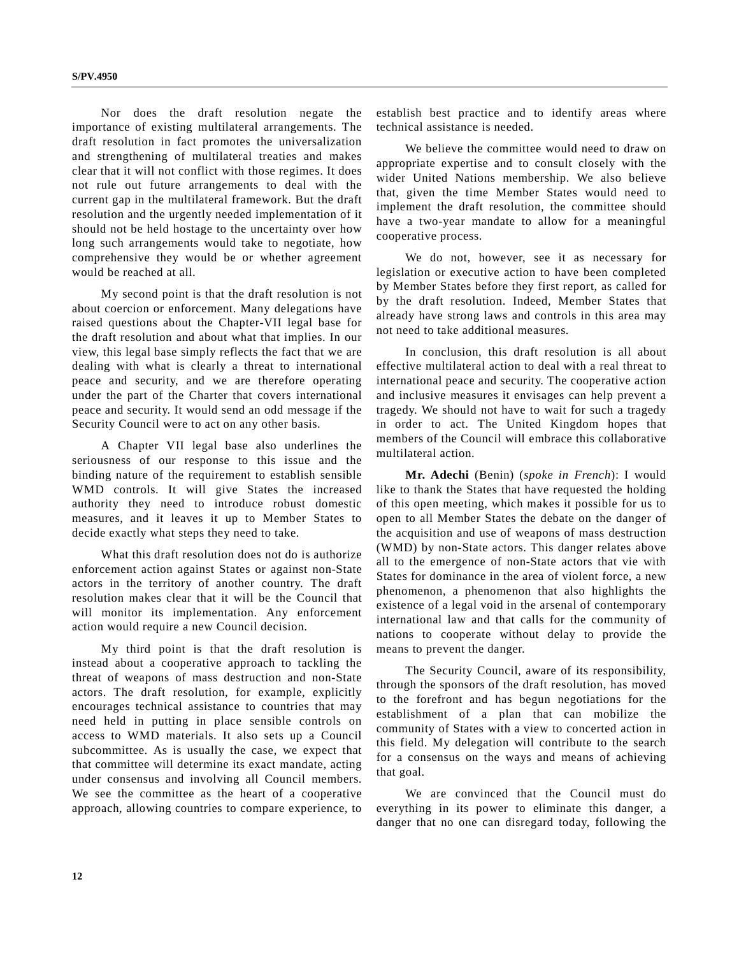Nor does the draft resolution negate the importance of existing multilateral arrangements. The draft resolution in fact promotes the universalization and strengthening of multilateral treaties and makes clear that it will not conflict with those regimes. It does not rule out future arrangements to deal with the current gap in the multilateral framework. But the draft resolution and the urgently needed implementation of it should not be held hostage to the uncertainty over how long such arrangements would take to negotiate, how comprehensive they would be or whether agreement would be reached at all.

My second point is that the draft resolution is not about coercion or enforcement. Many delegations have raised questions about the Chapter-VII legal base for the draft resolution and about what that implies. In our view, this legal base simply reflects the fact that we are dealing with what is clearly a threat to international peace and security, and we are therefore operating under the part of the Charter that covers international peace and security. It would send an odd message if the Security Council were to act on any other basis.

A Chapter VII legal base also underlines the seriousness of our response to this issue and the binding nature of the requirement to establish sensible WMD controls. It will give States the increased authority they need to introduce robust domestic measures, and it leaves it up to Member States to decide exactly what steps they need to take.

What this draft resolution does not do is authorize enforcement action against States or against non-State actors in the territory of another country. The draft resolution makes clear that it will be the Council that will monitor its implementation. Any enforcement action would require a new Council decision.

My third point is that the draft resolution is instead about a cooperative approach to tackling the threat of weapons of mass destruction and non-State actors. The draft resolution, for example, explicitly encourages technical assistance to countries that may need held in putting in place sensible controls on access to WMD materials. It also sets up a Council subcommittee. As is usually the case, we expect that that committee will determine its exact mandate, acting under consensus and involving all Council members. We see the committee as the heart of a cooperative approach, allowing countries to compare experience, to

establish best practice and to identify areas where technical assistance is needed.

We believe the committee would need to draw on appropriate expertise and to consult closely with the wider United Nations membership. We also believe that, given the time Member States would need to implement the draft resolution, the committee should have a two-year mandate to allow for a meaningful cooperative process.

We do not, however, see it as necessary for legislation or executive action to have been completed by Member States before they first report, as called for by the draft resolution. Indeed, Member States that already have strong laws and controls in this area may not need to take additional measures.

In conclusion, this draft resolution is all about effective multilateral action to deal with a real threat to international peace and security. The cooperative action and inclusive measures it envisages can help prevent a tragedy. We should not have to wait for such a tragedy in order to act. The United Kingdom hopes that members of the Council will embrace this collaborative multilateral action.

**Mr. Adechi** (Benin) (*spoke in French*): I would like to thank the States that have requested the holding of this open meeting, which makes it possible for us to open to all Member States the debate on the danger of the acquisition and use of weapons of mass destruction (WMD) by non-State actors. This danger relates above all to the emergence of non-State actors that vie with States for dominance in the area of violent force, a new phenomenon, a phenomenon that also highlights the existence of a legal void in the arsenal of contemporary international law and that calls for the community of nations to cooperate without delay to provide the means to prevent the danger.

The Security Council, aware of its responsibility, through the sponsors of the draft resolution, has moved to the forefront and has begun negotiations for the establishment of a plan that can mobilize the community of States with a view to concerted action in this field. My delegation will contribute to the search for a consensus on the ways and means of achieving that goal.

We are convinced that the Council must do everything in its power to eliminate this danger, a danger that no one can disregard today, following the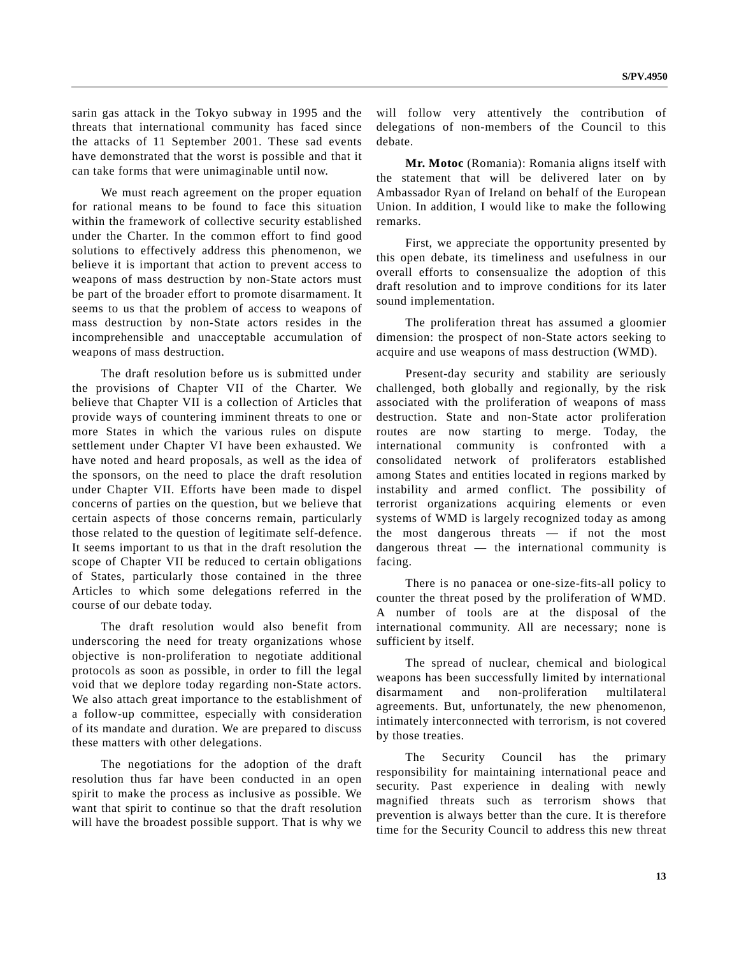sarin gas attack in the Tokyo subway in 1995 and the threats that international community has faced since the attacks of 11 September 2001. These sad events have demonstrated that the worst is possible and that it can take forms that were unimaginable until now.

We must reach agreement on the proper equation for rational means to be found to face this situation within the framework of collective security established under the Charter. In the common effort to find good solutions to effectively address this phenomenon, we believe it is important that action to prevent access to weapons of mass destruction by non-State actors must be part of the broader effort to promote disarmament. It seems to us that the problem of access to weapons of mass destruction by non-State actors resides in the incomprehensible and unacceptable accumulation of weapons of mass destruction.

The draft resolution before us is submitted under the provisions of Chapter VII of the Charter. We believe that Chapter VII is a collection of Articles that provide ways of countering imminent threats to one or more States in which the various rules on dispute settlement under Chapter VI have been exhausted. We have noted and heard proposals, as well as the idea of the sponsors, on the need to place the draft resolution under Chapter VII. Efforts have been made to dispel concerns of parties on the question, but we believe that certain aspects of those concerns remain, particularly those related to the question of legitimate self-defence. It seems important to us that in the draft resolution the scope of Chapter VII be reduced to certain obligations of States, particularly those contained in the three Articles to which some delegations referred in the course of our debate today.

The draft resolution would also benefit from underscoring the need for treaty organizations whose objective is non-proliferation to negotiate additional protocols as soon as possible, in order to fill the legal void that we deplore today regarding non-State actors. We also attach great importance to the establishment of a follow-up committee, especially with consideration of its mandate and duration. We are prepared to discuss these matters with other delegations.

The negotiations for the adoption of the draft resolution thus far have been conducted in an open spirit to make the process as inclusive as possible. We want that spirit to continue so that the draft resolution will have the broadest possible support. That is why we will follow very attentively the contribution of delegations of non-members of the Council to this debate.

**Mr. Motoc** (Romania): Romania aligns itself with the statement that will be delivered later on by Ambassador Ryan of Ireland on behalf of the European Union. In addition, I would like to make the following remarks.

First, we appreciate the opportunity presented by this open debate, its timeliness and usefulness in our overall efforts to consensualize the adoption of this draft resolution and to improve conditions for its later sound implementation.

The proliferation threat has assumed a gloomier dimension: the prospect of non-State actors seeking to acquire and use weapons of mass destruction (WMD).

Present-day security and stability are seriously challenged, both globally and regionally, by the risk associated with the proliferation of weapons of mass destruction. State and non-State actor proliferation routes are now starting to merge. Today, the international community is confronted with a consolidated network of proliferators established among States and entities located in regions marked by instability and armed conflict. The possibility of terrorist organizations acquiring elements or even systems of WMD is largely recognized today as among the most dangerous threats — if not the most dangerous threat — the international community is facing.

There is no panacea or one-size-fits-all policy to counter the threat posed by the proliferation of WMD. A number of tools are at the disposal of the international community. All are necessary; none is sufficient by itself.

The spread of nuclear, chemical and biological weapons has been successfully limited by international disarmament and non-proliferation multilateral agreements. But, unfortunately, the new phenomenon, intimately interconnected with terrorism, is not covered by those treaties.

The Security Council has the primary responsibility for maintaining international peace and security. Past experience in dealing with newly magnified threats such as terrorism shows that prevention is always better than the cure. It is therefore time for the Security Council to address this new threat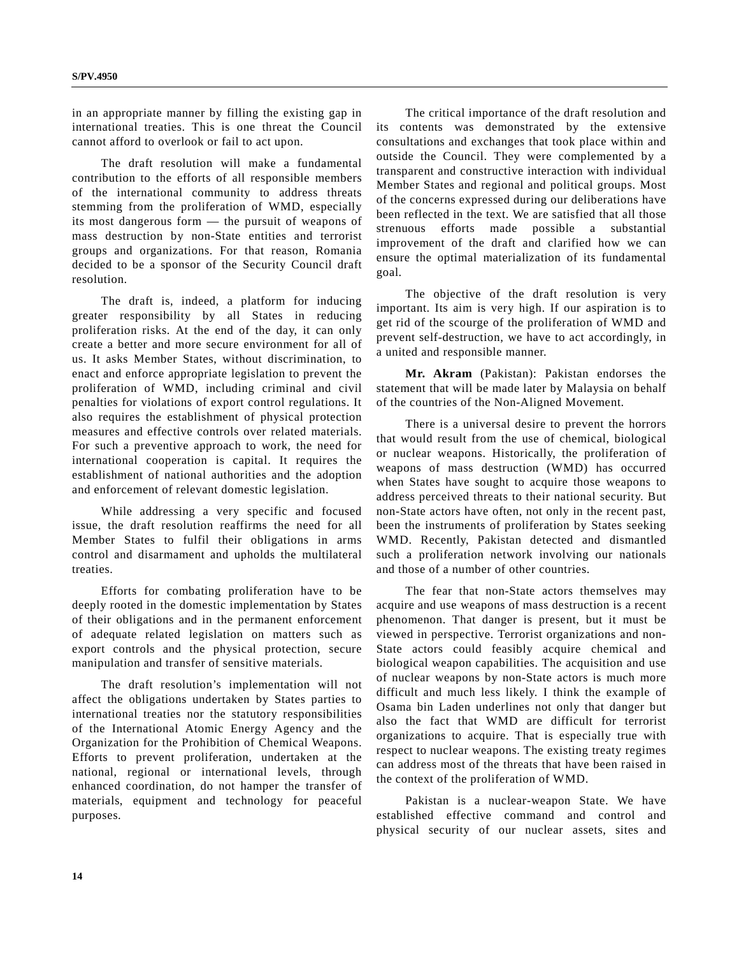in an appropriate manner by filling the existing gap in international treaties. This is one threat the Council cannot afford to overlook or fail to act upon.

The draft resolution will make a fundamental contribution to the efforts of all responsible members of the international community to address threats stemming from the proliferation of WMD, especially its most dangerous form — the pursuit of weapons of mass destruction by non-State entities and terrorist groups and organizations. For that reason, Romania decided to be a sponsor of the Security Council draft resolution.

The draft is, indeed, a platform for inducing greater responsibility by all States in reducing proliferation risks. At the end of the day, it can only create a better and more secure environment for all of us. It asks Member States, without discrimination, to enact and enforce appropriate legislation to prevent the proliferation of WMD, including criminal and civil penalties for violations of export control regulations. It also requires the establishment of physical protection measures and effective controls over related materials. For such a preventive approach to work, the need for international cooperation is capital. It requires the establishment of national authorities and the adoption and enforcement of relevant domestic legislation.

While addressing a very specific and focused issue, the draft resolution reaffirms the need for all Member States to fulfil their obligations in arms control and disarmament and upholds the multilateral treaties.

Efforts for combating proliferation have to be deeply rooted in the domestic implementation by States of their obligations and in the permanent enforcement of adequate related legislation on matters such as export controls and the physical protection, secure manipulation and transfer of sensitive materials.

The draft resolution's implementation will not affect the obligations undertaken by States parties to international treaties nor the statutory responsibilities of the International Atomic Energy Agency and the Organization for the Prohibition of Chemical Weapons. Efforts to prevent proliferation, undertaken at the national, regional or international levels, through enhanced coordination, do not hamper the transfer of materials, equipment and technology for peaceful purposes.

The critical importance of the draft resolution and its contents was demonstrated by the extensive consultations and exchanges that took place within and outside the Council. They were complemented by a transparent and constructive interaction with individual Member States and regional and political groups. Most of the concerns expressed during our deliberations have been reflected in the text. We are satisfied that all those strenuous efforts made possible a substantial improvement of the draft and clarified how we can ensure the optimal materialization of its fundamental goal.

The objective of the draft resolution is very important. Its aim is very high. If our aspiration is to get rid of the scourge of the proliferation of WMD and prevent self-destruction, we have to act accordingly, in a united and responsible manner.

**Mr. Akram** (Pakistan): Pakistan endorses the statement that will be made later by Malaysia on behalf of the countries of the Non-Aligned Movement.

There is a universal desire to prevent the horrors that would result from the use of chemical, biological or nuclear weapons. Historically, the proliferation of weapons of mass destruction (WMD) has occurred when States have sought to acquire those weapons to address perceived threats to their national security. But non-State actors have often, not only in the recent past, been the instruments of proliferation by States seeking WMD. Recently, Pakistan detected and dismantled such a proliferation network involving our nationals and those of a number of other countries.

The fear that non-State actors themselves may acquire and use weapons of mass destruction is a recent phenomenon. That danger is present, but it must be viewed in perspective. Terrorist organizations and non-State actors could feasibly acquire chemical and biological weapon capabilities. The acquisition and use of nuclear weapons by non-State actors is much more difficult and much less likely. I think the example of Osama bin Laden underlines not only that danger but also the fact that WMD are difficult for terrorist organizations to acquire. That is especially true with respect to nuclear weapons. The existing treaty regimes can address most of the threats that have been raised in the context of the proliferation of WMD.

Pakistan is a nuclear-weapon State. We have established effective command and control and physical security of our nuclear assets, sites and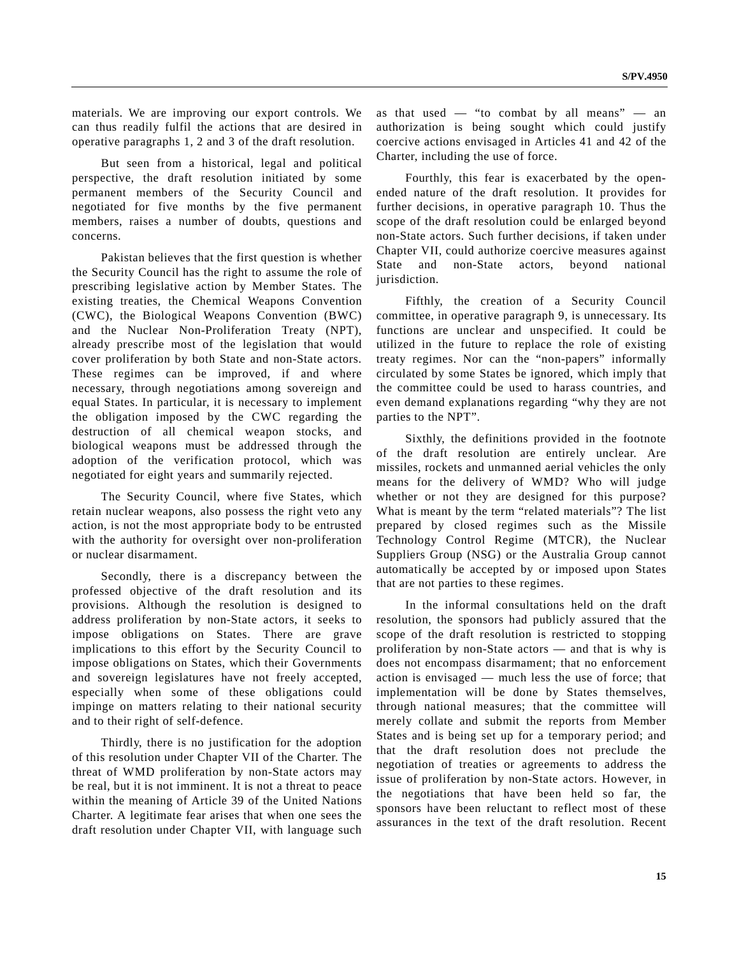materials. We are improving our export controls. We can thus readily fulfil the actions that are desired in operative paragraphs 1, 2 and 3 of the draft resolution.

But seen from a historical, legal and political perspective, the draft resolution initiated by some permanent members of the Security Council and negotiated for five months by the five permanent members, raises a number of doubts, questions and concerns.

Pakistan believes that the first question is whether the Security Council has the right to assume the role of prescribing legislative action by Member States. The existing treaties, the Chemical Weapons Convention (CWC), the Biological Weapons Convention (BWC) and the Nuclear Non-Proliferation Treaty (NPT), already prescribe most of the legislation that would cover proliferation by both State and non-State actors. These regimes can be improved, if and where necessary, through negotiations among sovereign and equal States. In particular, it is necessary to implement the obligation imposed by the CWC regarding the destruction of all chemical weapon stocks, and biological weapons must be addressed through the adoption of the verification protocol, which was negotiated for eight years and summarily rejected.

The Security Council, where five States, which retain nuclear weapons, also possess the right veto any action, is not the most appropriate body to be entrusted with the authority for oversight over non-proliferation or nuclear disarmament.

Secondly, there is a discrepancy between the professed objective of the draft resolution and its provisions. Although the resolution is designed to address proliferation by non-State actors, it seeks to impose obligations on States. There are grave implications to this effort by the Security Council to impose obligations on States, which their Governments and sovereign legislatures have not freely accepted, especially when some of these obligations could impinge on matters relating to their national security and to their right of self-defence.

Thirdly, there is no justification for the adoption of this resolution under Chapter VII of the Charter. The threat of WMD proliferation by non-State actors may be real, but it is not imminent. It is not a threat to peace within the meaning of Article 39 of the United Nations Charter. A legitimate fear arises that when one sees the draft resolution under Chapter VII, with language such as that used  $-$  "to combat by all means"  $-$  an authorization is being sought which could justify coercive actions envisaged in Articles 41 and 42 of the Charter, including the use of force.

Fourthly, this fear is exacerbated by the openended nature of the draft resolution. It provides for further decisions, in operative paragraph 10. Thus the scope of the draft resolution could be enlarged beyond non-State actors. Such further decisions, if taken under Chapter VII, could authorize coercive measures against State and non-State actors, beyond national jurisdiction.

Fifthly, the creation of a Security Council committee, in operative paragraph 9, is unnecessary. Its functions are unclear and unspecified. It could be utilized in the future to replace the role of existing treaty regimes. Nor can the "non-papers" informally circulated by some States be ignored, which imply that the committee could be used to harass countries, and even demand explanations regarding "why they are not parties to the NPT".

Sixthly, the definitions provided in the footnote of the draft resolution are entirely unclear. Are missiles, rockets and unmanned aerial vehicles the only means for the delivery of WMD? Who will judge whether or not they are designed for this purpose? What is meant by the term "related materials"? The list prepared by closed regimes such as the Missile Technology Control Regime (MTCR), the Nuclear Suppliers Group (NSG) or the Australia Group cannot automatically be accepted by or imposed upon States that are not parties to these regimes.

In the informal consultations held on the draft resolution, the sponsors had publicly assured that the scope of the draft resolution is restricted to stopping proliferation by non-State actors — and that is why is does not encompass disarmament; that no enforcement action is envisaged — much less the use of force; that implementation will be done by States themselves, through national measures; that the committee will merely collate and submit the reports from Member States and is being set up for a temporary period; and that the draft resolution does not preclude the negotiation of treaties or agreements to address the issue of proliferation by non-State actors. However, in the negotiations that have been held so far, the sponsors have been reluctant to reflect most of these assurances in the text of the draft resolution. Recent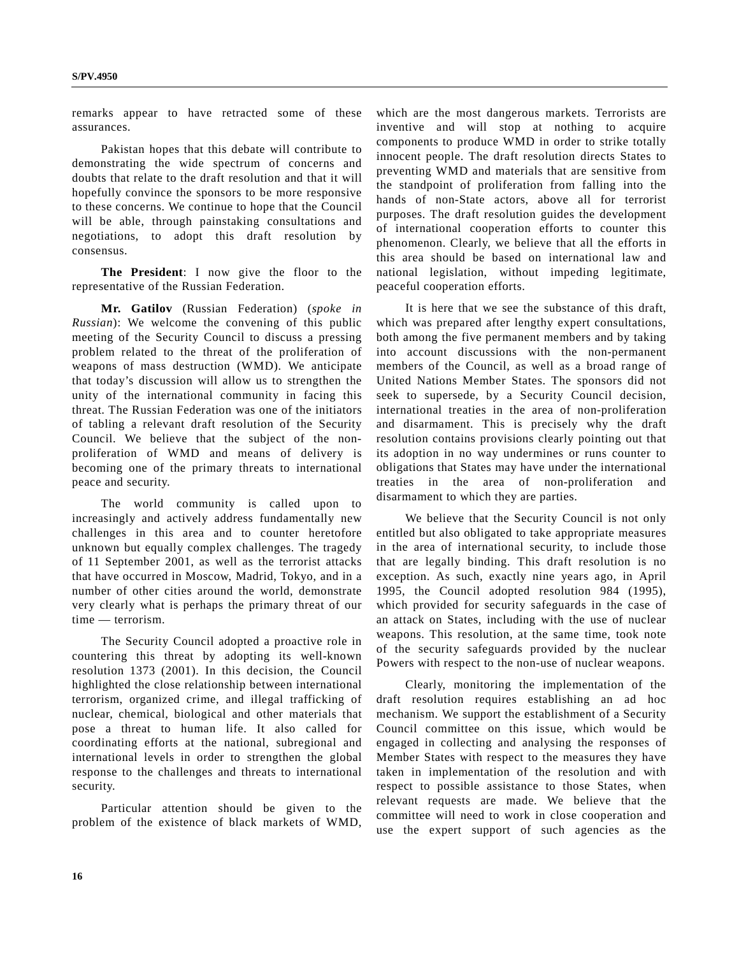remarks appear to have retracted some of these assurances.

Pakistan hopes that this debate will contribute to demonstrating the wide spectrum of concerns and doubts that relate to the draft resolution and that it will hopefully convince the sponsors to be more responsive to these concerns. We continue to hope that the Council will be able, through painstaking consultations and negotiations, to adopt this draft resolution by consensus.

**The President**: I now give the floor to the representative of the Russian Federation.

**Mr. Gatilov** (Russian Federation) (*spoke in Russian*): We welcome the convening of this public meeting of the Security Council to discuss a pressing problem related to the threat of the proliferation of weapons of mass destruction (WMD). We anticipate that today's discussion will allow us to strengthen the unity of the international community in facing this threat. The Russian Federation was one of the initiators of tabling a relevant draft resolution of the Security Council. We believe that the subject of the nonproliferation of WMD and means of delivery is becoming one of the primary threats to international peace and security.

The world community is called upon to increasingly and actively address fundamentally new challenges in this area and to counter heretofore unknown but equally complex challenges. The tragedy of 11 September 2001, as well as the terrorist attacks that have occurred in Moscow, Madrid, Tokyo, and in a number of other cities around the world, demonstrate very clearly what is perhaps the primary threat of our time — terrorism.

The Security Council adopted a proactive role in countering this threat by adopting its well-known resolution 1373 (2001). In this decision, the Council highlighted the close relationship between international terrorism, organized crime, and illegal trafficking of nuclear, chemical, biological and other materials that pose a threat to human life. It also called for coordinating efforts at the national, subregional and international levels in order to strengthen the global response to the challenges and threats to international security.

Particular attention should be given to the problem of the existence of black markets of WMD,

which are the most dangerous markets. Terrorists are inventive and will stop at nothing to acquire components to produce WMD in order to strike totally innocent people. The draft resolution directs States to preventing WMD and materials that are sensitive from the standpoint of proliferation from falling into the hands of non-State actors, above all for terrorist purposes. The draft resolution guides the development of international cooperation efforts to counter this phenomenon. Clearly, we believe that all the efforts in this area should be based on international law and national legislation, without impeding legitimate, peaceful cooperation efforts.

It is here that we see the substance of this draft, which was prepared after lengthy expert consultations, both among the five permanent members and by taking into account discussions with the non-permanent members of the Council, as well as a broad range of United Nations Member States. The sponsors did not seek to supersede, by a Security Council decision, international treaties in the area of non-proliferation and disarmament. This is precisely why the draft resolution contains provisions clearly pointing out that its adoption in no way undermines or runs counter to obligations that States may have under the international treaties in the area of non-proliferation and disarmament to which they are parties.

We believe that the Security Council is not only entitled but also obligated to take appropriate measures in the area of international security, to include those that are legally binding. This draft resolution is no exception. As such, exactly nine years ago, in April 1995, the Council adopted resolution 984 (1995), which provided for security safeguards in the case of an attack on States, including with the use of nuclear weapons. This resolution, at the same time, took note of the security safeguards provided by the nuclear Powers with respect to the non-use of nuclear weapons.

Clearly, monitoring the implementation of the draft resolution requires establishing an ad hoc mechanism. We support the establishment of a Security Council committee on this issue, which would be engaged in collecting and analysing the responses of Member States with respect to the measures they have taken in implementation of the resolution and with respect to possible assistance to those States, when relevant requests are made. We believe that the committee will need to work in close cooperation and use the expert support of such agencies as the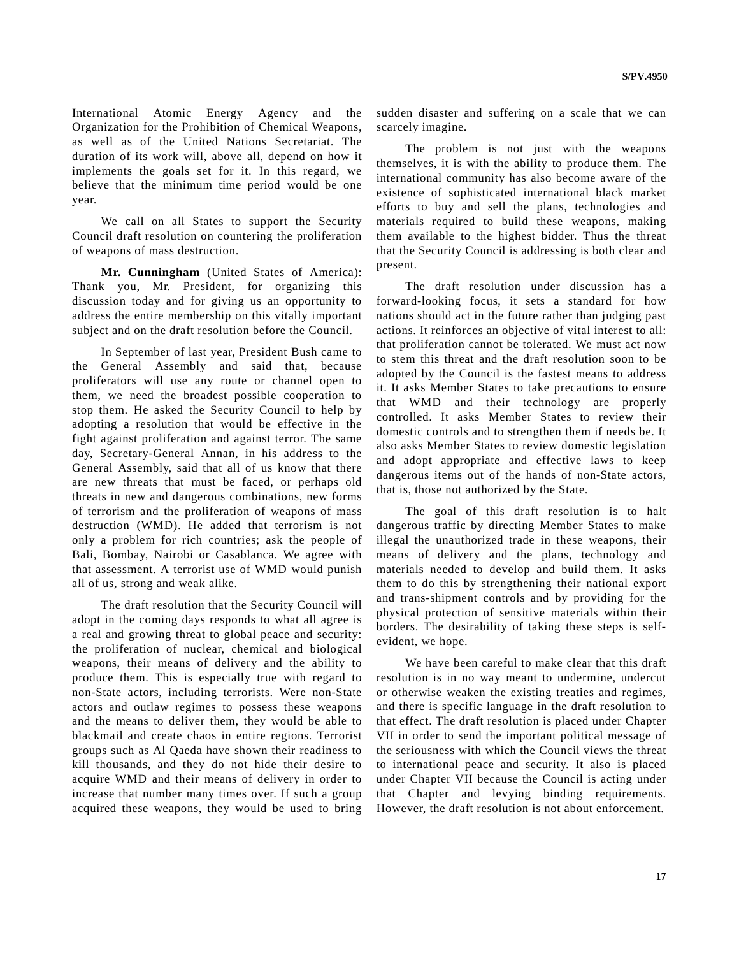International Atomic Energy Agency and the Organization for the Prohibition of Chemical Weapons, as well as of the United Nations Secretariat. The duration of its work will, above all, depend on how it implements the goals set for it. In this regard, we believe that the minimum time period would be one year.

We call on all States to support the Security Council draft resolution on countering the proliferation of weapons of mass destruction.

**Mr. Cunningham** (United States of America): Thank you, Mr. President, for organizing this discussion today and for giving us an opportunity to address the entire membership on this vitally important subject and on the draft resolution before the Council.

In September of last year, President Bush came to the General Assembly and said that, because proliferators will use any route or channel open to them, we need the broadest possible cooperation to stop them. He asked the Security Council to help by adopting a resolution that would be effective in the fight against proliferation and against terror. The same day, Secretary-General Annan, in his address to the General Assembly, said that all of us know that there are new threats that must be faced, or perhaps old threats in new and dangerous combinations, new forms of terrorism and the proliferation of weapons of mass destruction (WMD). He added that terrorism is not only a problem for rich countries; ask the people of Bali, Bombay, Nairobi or Casablanca. We agree with that assessment. A terrorist use of WMD would punish all of us, strong and weak alike.

The draft resolution that the Security Council will adopt in the coming days responds to what all agree is a real and growing threat to global peace and security: the proliferation of nuclear, chemical and biological weapons, their means of delivery and the ability to produce them. This is especially true with regard to non-State actors, including terrorists. Were non-State actors and outlaw regimes to possess these weapons and the means to deliver them, they would be able to blackmail and create chaos in entire regions. Terrorist groups such as Al Qaeda have shown their readiness to kill thousands, and they do not hide their desire to acquire WMD and their means of delivery in order to increase that number many times over. If such a group acquired these weapons, they would be used to bring sudden disaster and suffering on a scale that we can scarcely imagine.

The problem is not just with the weapons themselves, it is with the ability to produce them. The international community has also become aware of the existence of sophisticated international black market efforts to buy and sell the plans, technologies and materials required to build these weapons, making them available to the highest bidder. Thus the threat that the Security Council is addressing is both clear and present.

The draft resolution under discussion has a forward-looking focus, it sets a standard for how nations should act in the future rather than judging past actions. It reinforces an objective of vital interest to all: that proliferation cannot be tolerated. We must act now to stem this threat and the draft resolution soon to be adopted by the Council is the fastest means to address it. It asks Member States to take precautions to ensure that WMD and their technology are properly controlled. It asks Member States to review their domestic controls and to strengthen them if needs be. It also asks Member States to review domestic legislation and adopt appropriate and effective laws to keep dangerous items out of the hands of non-State actors, that is, those not authorized by the State.

The goal of this draft resolution is to halt dangerous traffic by directing Member States to make illegal the unauthorized trade in these weapons, their means of delivery and the plans, technology and materials needed to develop and build them. It asks them to do this by strengthening their national export and trans-shipment controls and by providing for the physical protection of sensitive materials within their borders. The desirability of taking these steps is selfevident, we hope.

We have been careful to make clear that this draft resolution is in no way meant to undermine, undercut or otherwise weaken the existing treaties and regimes, and there is specific language in the draft resolution to that effect. The draft resolution is placed under Chapter VII in order to send the important political message of the seriousness with which the Council views the threat to international peace and security. It also is placed under Chapter VII because the Council is acting under that Chapter and levying binding requirements. However, the draft resolution is not about enforcement.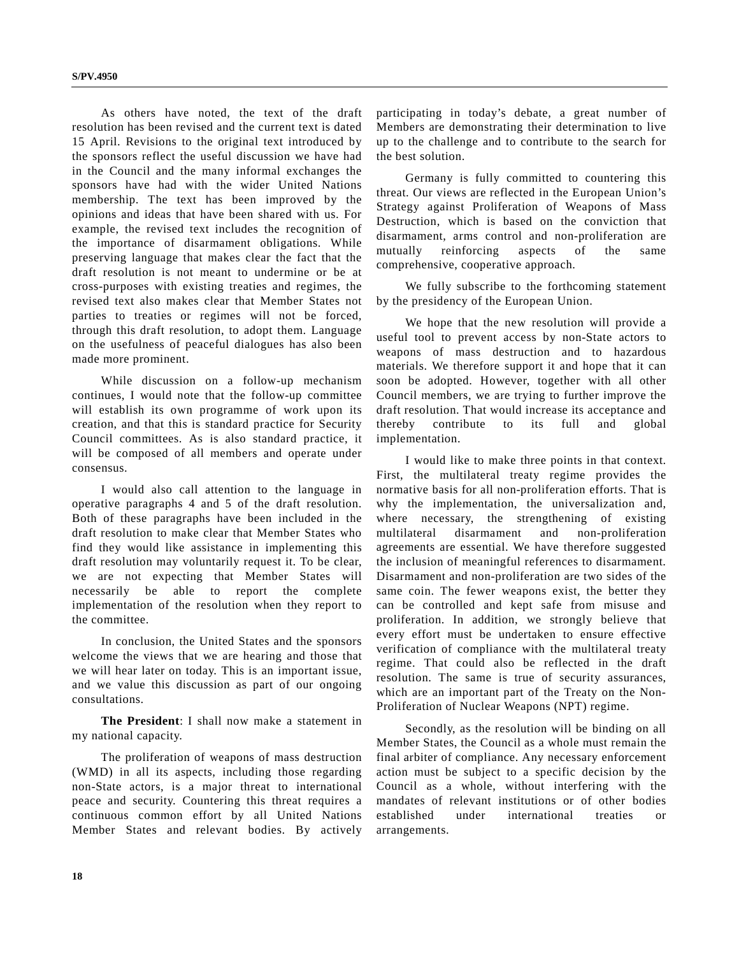As others have noted, the text of the draft resolution has been revised and the current text is dated 15 April. Revisions to the original text introduced by the sponsors reflect the useful discussion we have had in the Council and the many informal exchanges the sponsors have had with the wider United Nations membership. The text has been improved by the opinions and ideas that have been shared with us. For example, the revised text includes the recognition of the importance of disarmament obligations. While preserving language that makes clear the fact that the draft resolution is not meant to undermine or be at cross-purposes with existing treaties and regimes, the revised text also makes clear that Member States not parties to treaties or regimes will not be forced, through this draft resolution, to adopt them. Language on the usefulness of peaceful dialogues has also been made more prominent.

While discussion on a follow-up mechanism continues, I would note that the follow-up committee will establish its own programme of work upon its creation, and that this is standard practice for Security Council committees. As is also standard practice, it will be composed of all members and operate under consensus.

I would also call attention to the language in operative paragraphs 4 and 5 of the draft resolution. Both of these paragraphs have been included in the draft resolution to make clear that Member States who find they would like assistance in implementing this draft resolution may voluntarily request it. To be clear, we are not expecting that Member States will necessarily be able to report the complete implementation of the resolution when they report to the committee.

In conclusion, the United States and the sponsors welcome the views that we are hearing and those that we will hear later on today. This is an important issue, and we value this discussion as part of our ongoing consultations.

**The President**: I shall now make a statement in my national capacity.

The proliferation of weapons of mass destruction (WMD) in all its aspects, including those regarding non-State actors, is a major threat to international peace and security. Countering this threat requires a continuous common effort by all United Nations Member States and relevant bodies. By actively participating in today's debate, a great number of Members are demonstrating their determination to live up to the challenge and to contribute to the search for the best solution.

Germany is fully committed to countering this threat. Our views are reflected in the European Union's Strategy against Proliferation of Weapons of Mass Destruction, which is based on the conviction that disarmament, arms control and non-proliferation are mutually reinforcing aspects of the same comprehensive, cooperative approach.

We fully subscribe to the forthcoming statement by the presidency of the European Union.

We hope that the new resolution will provide a useful tool to prevent access by non-State actors to weapons of mass destruction and to hazardous materials. We therefore support it and hope that it can soon be adopted. However, together with all other Council members, we are trying to further improve the draft resolution. That would increase its acceptance and thereby contribute to its full and global implementation.

I would like to make three points in that context. First, the multilateral treaty regime provides the normative basis for all non-proliferation efforts. That is why the implementation, the universalization and, where necessary, the strengthening of existing multilateral disarmament and non-proliferation agreements are essential. We have therefore suggested the inclusion of meaningful references to disarmament. Disarmament and non-proliferation are two sides of the same coin. The fewer weapons exist, the better they can be controlled and kept safe from misuse and proliferation. In addition, we strongly believe that every effort must be undertaken to ensure effective verification of compliance with the multilateral treaty regime. That could also be reflected in the draft resolution. The same is true of security assurances, which are an important part of the Treaty on the Non-Proliferation of Nuclear Weapons (NPT) regime.

Secondly, as the resolution will be binding on all Member States, the Council as a whole must remain the final arbiter of compliance. Any necessary enforcement action must be subject to a specific decision by the Council as a whole, without interfering with the mandates of relevant institutions or of other bodies established under international treaties or arrangements.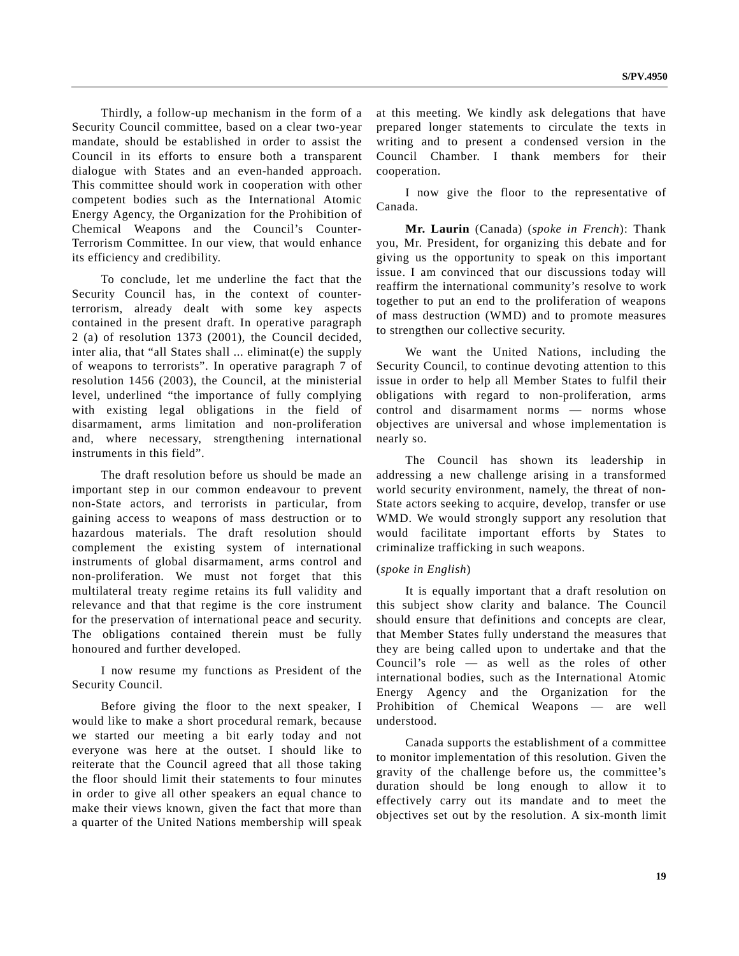Thirdly, a follow-up mechanism in the form of a Security Council committee, based on a clear two-year mandate, should be established in order to assist the Council in its efforts to ensure both a transparent dialogue with States and an even-handed approach. This committee should work in cooperation with other competent bodies such as the International Atomic Energy Agency, the Organization for the Prohibition of Chemical Weapons and the Council's Counter-Terrorism Committee. In our view, that would enhance its efficiency and credibility.

To conclude, let me underline the fact that the Security Council has, in the context of counterterrorism, already dealt with some key aspects contained in the present draft. In operative paragraph 2 (a) of resolution 1373 (2001), the Council decided, inter alia, that "all States shall ... eliminat(e) the supply of weapons to terrorists". In operative paragraph 7 of resolution 1456 (2003), the Council, at the ministerial level, underlined "the importance of fully complying with existing legal obligations in the field of disarmament, arms limitation and non-proliferation and, where necessary, strengthening international instruments in this field".

The draft resolution before us should be made an important step in our common endeavour to prevent non-State actors, and terrorists in particular, from gaining access to weapons of mass destruction or to hazardous materials. The draft resolution should complement the existing system of international instruments of global disarmament, arms control and non-proliferation. We must not forget that this multilateral treaty regime retains its full validity and relevance and that that regime is the core instrument for the preservation of international peace and security. The obligations contained therein must be fully honoured and further developed.

I now resume my functions as President of the Security Council.

Before giving the floor to the next speaker, I would like to make a short procedural remark, because we started our meeting a bit early today and not everyone was here at the outset. I should like to reiterate that the Council agreed that all those taking the floor should limit their statements to four minutes in order to give all other speakers an equal chance to make their views known, given the fact that more than a quarter of the United Nations membership will speak at this meeting. We kindly ask delegations that have prepared longer statements to circulate the texts in writing and to present a condensed version in the Council Chamber. I thank members for their cooperation.

I now give the floor to the representative of Canada.

**Mr. Laurin** (Canada) (*spoke in French*): Thank you, Mr. President, for organizing this debate and for giving us the opportunity to speak on this important issue. I am convinced that our discussions today will reaffirm the international community's resolve to work together to put an end to the proliferation of weapons of mass destruction (WMD) and to promote measures to strengthen our collective security.

We want the United Nations, including the Security Council, to continue devoting attention to this issue in order to help all Member States to fulfil their obligations with regard to non-proliferation, arms control and disarmament norms — norms whose objectives are universal and whose implementation is nearly so.

The Council has shown its leadership in addressing a new challenge arising in a transformed world security environment, namely, the threat of non-State actors seeking to acquire, develop, transfer or use WMD. We would strongly support any resolution that would facilitate important efforts by States to criminalize trafficking in such weapons.

### (*spoke in English*)

It is equally important that a draft resolution on this subject show clarity and balance. The Council should ensure that definitions and concepts are clear, that Member States fully understand the measures that they are being called upon to undertake and that the Council's role — as well as the roles of other international bodies, such as the International Atomic Energy Agency and the Organization for the Prohibition of Chemical Weapons — are well understood.

Canada supports the establishment of a committee to monitor implementation of this resolution. Given the gravity of the challenge before us, the committee's duration should be long enough to allow it to effectively carry out its mandate and to meet the objectives set out by the resolution. A six-month limit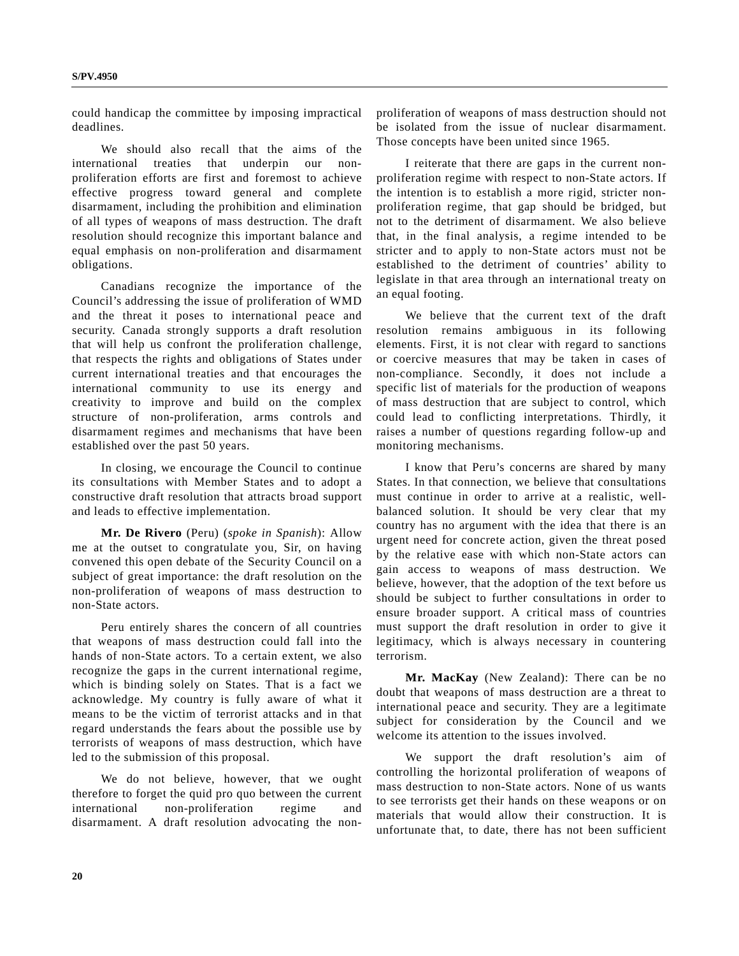could handicap the committee by imposing impractical deadlines.

We should also recall that the aims of the international treaties that underpin our nonproliferation efforts are first and foremost to achieve effective progress toward general and complete disarmament, including the prohibition and elimination of all types of weapons of mass destruction. The draft resolution should recognize this important balance and equal emphasis on non-proliferation and disarmament obligations.

Canadians recognize the importance of the Council's addressing the issue of proliferation of WMD and the threat it poses to international peace and security. Canada strongly supports a draft resolution that will help us confront the proliferation challenge, that respects the rights and obligations of States under current international treaties and that encourages the international community to use its energy and creativity to improve and build on the complex structure of non-proliferation, arms controls and disarmament regimes and mechanisms that have been established over the past 50 years.

In closing, we encourage the Council to continue its consultations with Member States and to adopt a constructive draft resolution that attracts broad support and leads to effective implementation.

**Mr. De Rivero** (Peru) (*spoke in Spanish*): Allow me at the outset to congratulate you, Sir, on having convened this open debate of the Security Council on a subject of great importance: the draft resolution on the non-proliferation of weapons of mass destruction to non-State actors.

Peru entirely shares the concern of all countries that weapons of mass destruction could fall into the hands of non-State actors. To a certain extent, we also recognize the gaps in the current international regime, which is binding solely on States. That is a fact we acknowledge. My country is fully aware of what it means to be the victim of terrorist attacks and in that regard understands the fears about the possible use by terrorists of weapons of mass destruction, which have led to the submission of this proposal.

We do not believe, however, that we ought therefore to forget the quid pro quo between the current international non-proliferation regime and disarmament. A draft resolution advocating the nonproliferation of weapons of mass destruction should not be isolated from the issue of nuclear disarmament. Those concepts have been united since 1965.

I reiterate that there are gaps in the current nonproliferation regime with respect to non-State actors. If the intention is to establish a more rigid, stricter nonproliferation regime, that gap should be bridged, but not to the detriment of disarmament. We also believe that, in the final analysis, a regime intended to be stricter and to apply to non-State actors must not be established to the detriment of countries' ability to legislate in that area through an international treaty on an equal footing.

We believe that the current text of the draft resolution remains ambiguous in its following elements. First, it is not clear with regard to sanctions or coercive measures that may be taken in cases of non-compliance. Secondly, it does not include a specific list of materials for the production of weapons of mass destruction that are subject to control, which could lead to conflicting interpretations. Thirdly, it raises a number of questions regarding follow-up and monitoring mechanisms.

I know that Peru's concerns are shared by many States. In that connection, we believe that consultations must continue in order to arrive at a realistic, wellbalanced solution. It should be very clear that my country has no argument with the idea that there is an urgent need for concrete action, given the threat posed by the relative ease with which non-State actors can gain access to weapons of mass destruction. We believe, however, that the adoption of the text before us should be subject to further consultations in order to ensure broader support. A critical mass of countries must support the draft resolution in order to give it legitimacy, which is always necessary in countering terrorism.

**Mr. MacKay** (New Zealand): There can be no doubt that weapons of mass destruction are a threat to international peace and security. They are a legitimate subject for consideration by the Council and we welcome its attention to the issues involved.

We support the draft resolution's aim of controlling the horizontal proliferation of weapons of mass destruction to non-State actors. None of us wants to see terrorists get their hands on these weapons or on materials that would allow their construction. It is unfortunate that, to date, there has not been sufficient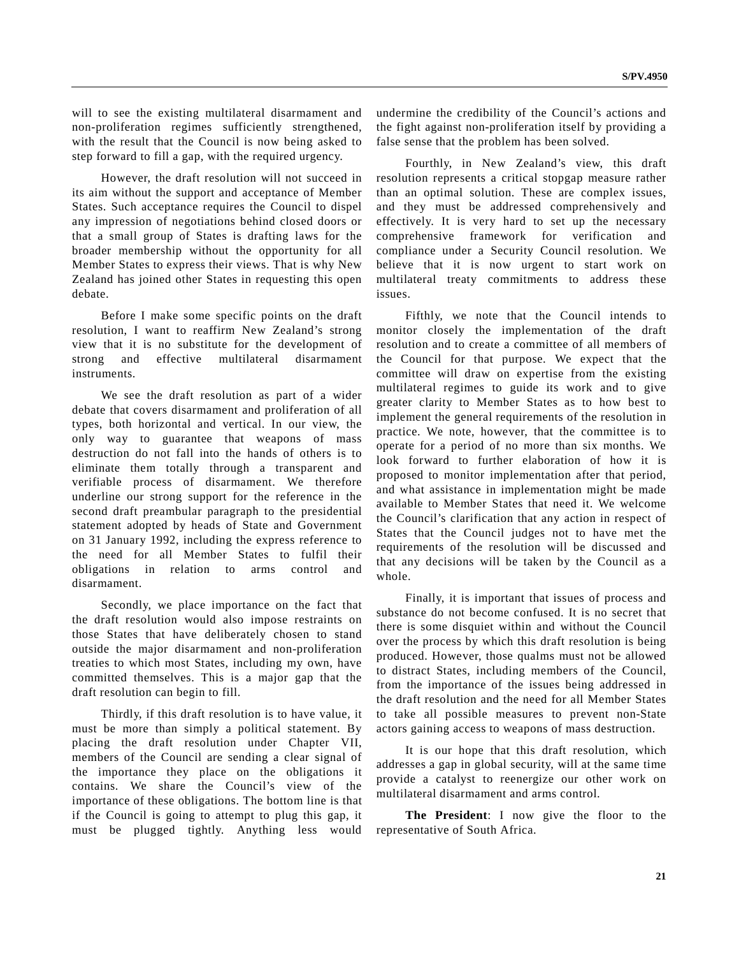will to see the existing multilateral disarmament and non-proliferation regimes sufficiently strengthened, with the result that the Council is now being asked to step forward to fill a gap, with the required urgency.

However, the draft resolution will not succeed in its aim without the support and acceptance of Member States. Such acceptance requires the Council to dispel any impression of negotiations behind closed doors or that a small group of States is drafting laws for the broader membership without the opportunity for all Member States to express their views. That is why New Zealand has joined other States in requesting this open debate.

Before I make some specific points on the draft resolution, I want to reaffirm New Zealand's strong view that it is no substitute for the development of strong and effective multilateral disarmament instruments.

We see the draft resolution as part of a wider debate that covers disarmament and proliferation of all types, both horizontal and vertical. In our view, the only way to guarantee that weapons of mass destruction do not fall into the hands of others is to eliminate them totally through a transparent and verifiable process of disarmament. We therefore underline our strong support for the reference in the second draft preambular paragraph to the presidential statement adopted by heads of State and Government on 31 January 1992, including the express reference to the need for all Member States to fulfil their obligations in relation to arms control and disarmament.

Secondly, we place importance on the fact that the draft resolution would also impose restraints on those States that have deliberately chosen to stand outside the major disarmament and non-proliferation treaties to which most States, including my own, have committed themselves. This is a major gap that the draft resolution can begin to fill.

Thirdly, if this draft resolution is to have value, it must be more than simply a political statement. By placing the draft resolution under Chapter VII, members of the Council are sending a clear signal of the importance they place on the obligations it contains. We share the Council's view of the importance of these obligations. The bottom line is that if the Council is going to attempt to plug this gap, it must be plugged tightly. Anything less would

undermine the credibility of the Council's actions and the fight against non-proliferation itself by providing a false sense that the problem has been solved.

Fourthly, in New Zealand's view, this draft resolution represents a critical stopgap measure rather than an optimal solution. These are complex issues, and they must be addressed comprehensively and effectively. It is very hard to set up the necessary comprehensive framework for verification and compliance under a Security Council resolution. We believe that it is now urgent to start work on multilateral treaty commitments to address these issues.

Fifthly, we note that the Council intends to monitor closely the implementation of the draft resolution and to create a committee of all members of the Council for that purpose. We expect that the committee will draw on expertise from the existing multilateral regimes to guide its work and to give greater clarity to Member States as to how best to implement the general requirements of the resolution in practice. We note, however, that the committee is to operate for a period of no more than six months. We look forward to further elaboration of how it is proposed to monitor implementation after that period, and what assistance in implementation might be made available to Member States that need it. We welcome the Council's clarification that any action in respect of States that the Council judges not to have met the requirements of the resolution will be discussed and that any decisions will be taken by the Council as a whole.

Finally, it is important that issues of process and substance do not become confused. It is no secret that there is some disquiet within and without the Council over the process by which this draft resolution is being produced. However, those qualms must not be allowed to distract States, including members of the Council, from the importance of the issues being addressed in the draft resolution and the need for all Member States to take all possible measures to prevent non-State actors gaining access to weapons of mass destruction.

It is our hope that this draft resolution, which addresses a gap in global security, will at the same time provide a catalyst to reenergize our other work on multilateral disarmament and arms control.

**The President**: I now give the floor to the representative of South Africa.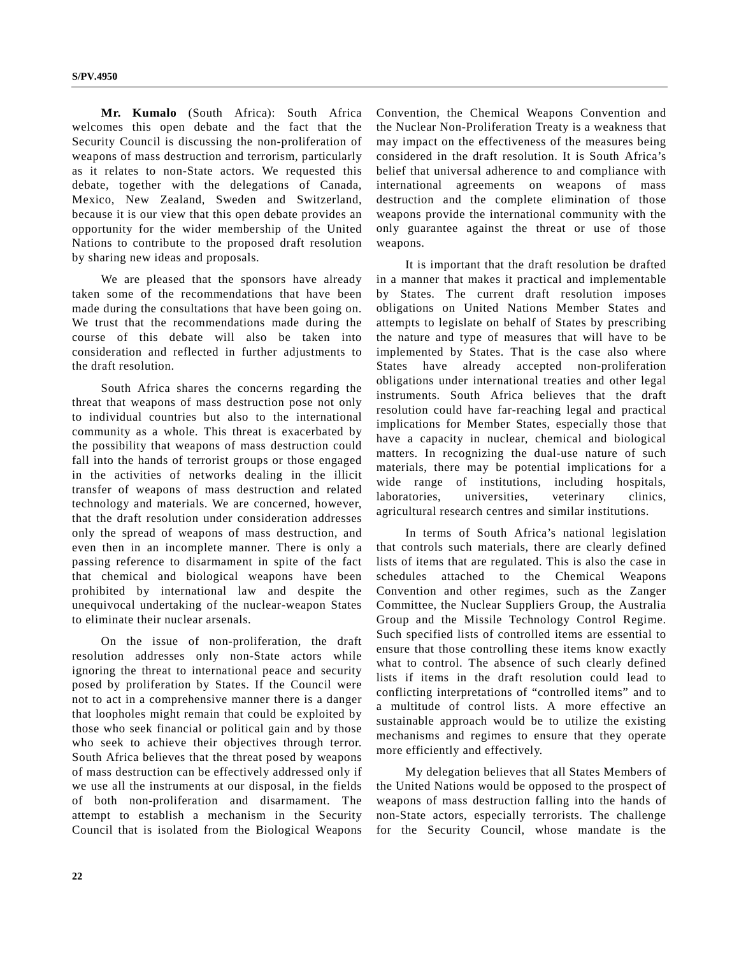**Mr. Kumalo** (South Africa): South Africa welcomes this open debate and the fact that the Security Council is discussing the non-proliferation of weapons of mass destruction and terrorism, particularly as it relates to non-State actors. We requested this debate, together with the delegations of Canada, Mexico, New Zealand, Sweden and Switzerland, because it is our view that this open debate provides an opportunity for the wider membership of the United Nations to contribute to the proposed draft resolution by sharing new ideas and proposals.

We are pleased that the sponsors have already taken some of the recommendations that have been made during the consultations that have been going on. We trust that the recommendations made during the course of this debate will also be taken into consideration and reflected in further adjustments to the draft resolution.

South Africa shares the concerns regarding the threat that weapons of mass destruction pose not only to individual countries but also to the international community as a whole. This threat is exacerbated by the possibility that weapons of mass destruction could fall into the hands of terrorist groups or those engaged in the activities of networks dealing in the illicit transfer of weapons of mass destruction and related technology and materials. We are concerned, however, that the draft resolution under consideration addresses only the spread of weapons of mass destruction, and even then in an incomplete manner. There is only a passing reference to disarmament in spite of the fact that chemical and biological weapons have been prohibited by international law and despite the unequivocal undertaking of the nuclear-weapon States to eliminate their nuclear arsenals.

On the issue of non-proliferation, the draft resolution addresses only non-State actors while ignoring the threat to international peace and security posed by proliferation by States. If the Council were not to act in a comprehensive manner there is a danger that loopholes might remain that could be exploited by those who seek financial or political gain and by those who seek to achieve their objectives through terror. South Africa believes that the threat posed by weapons of mass destruction can be effectively addressed only if we use all the instruments at our disposal, in the fields of both non-proliferation and disarmament. The attempt to establish a mechanism in the Security Council that is isolated from the Biological Weapons

Convention, the Chemical Weapons Convention and the Nuclear Non-Proliferation Treaty is a weakness that may impact on the effectiveness of the measures being considered in the draft resolution. It is South Africa's belief that universal adherence to and compliance with international agreements on weapons of mass destruction and the complete elimination of those weapons provide the international community with the only guarantee against the threat or use of those weapons.

It is important that the draft resolution be drafted in a manner that makes it practical and implementable by States. The current draft resolution imposes obligations on United Nations Member States and attempts to legislate on behalf of States by prescribing the nature and type of measures that will have to be implemented by States. That is the case also where States have already accepted non-proliferation obligations under international treaties and other legal instruments. South Africa believes that the draft resolution could have far-reaching legal and practical implications for Member States, especially those that have a capacity in nuclear, chemical and biological matters. In recognizing the dual-use nature of such materials, there may be potential implications for a wide range of institutions, including hospitals, laboratories, universities, veterinary clinics, agricultural research centres and similar institutions.

In terms of South Africa's national legislation that controls such materials, there are clearly defined lists of items that are regulated. This is also the case in schedules attached to the Chemical Weapons Convention and other regimes, such as the Zanger Committee, the Nuclear Suppliers Group, the Australia Group and the Missile Technology Control Regime. Such specified lists of controlled items are essential to ensure that those controlling these items know exactly what to control. The absence of such clearly defined lists if items in the draft resolution could lead to conflicting interpretations of "controlled items" and to a multitude of control lists. A more effective an sustainable approach would be to utilize the existing mechanisms and regimes to ensure that they operate more efficiently and effectively.

My delegation believes that all States Members of the United Nations would be opposed to the prospect of weapons of mass destruction falling into the hands of non-State actors, especially terrorists. The challenge for the Security Council, whose mandate is the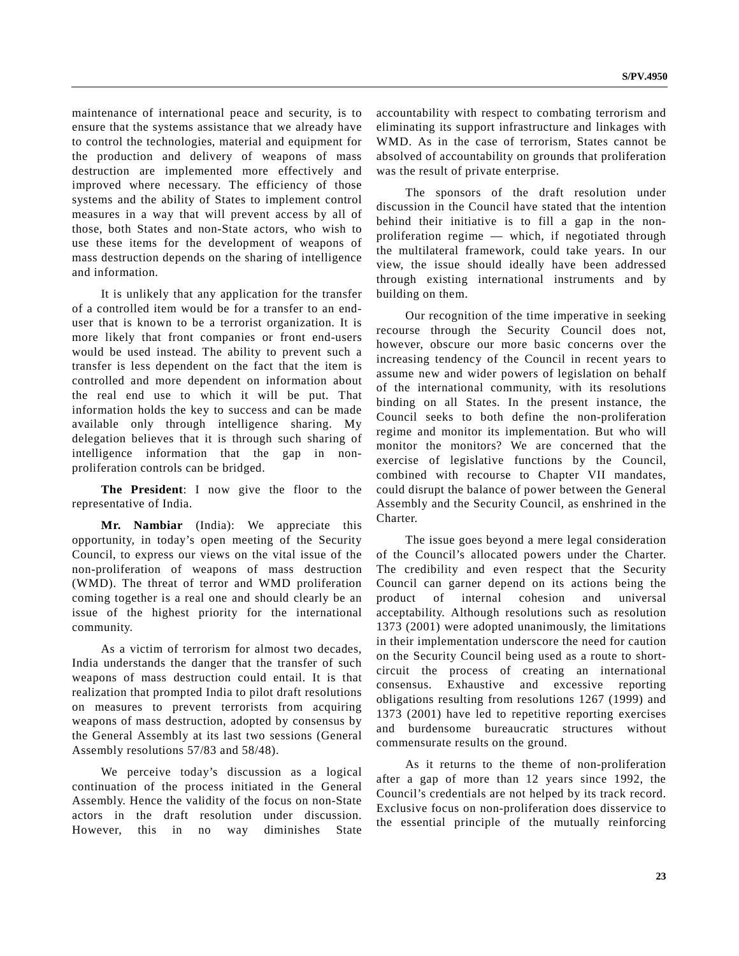maintenance of international peace and security, is to ensure that the systems assistance that we already have to control the technologies, material and equipment for the production and delivery of weapons of mass destruction are implemented more effectively and improved where necessary. The efficiency of those systems and the ability of States to implement control measures in a way that will prevent access by all of those, both States and non-State actors, who wish to use these items for the development of weapons of mass destruction depends on the sharing of intelligence and information.

It is unlikely that any application for the transfer of a controlled item would be for a transfer to an enduser that is known to be a terrorist organization. It is more likely that front companies or front end-users would be used instead. The ability to prevent such a transfer is less dependent on the fact that the item is controlled and more dependent on information about the real end use to which it will be put. That information holds the key to success and can be made available only through intelligence sharing. My delegation believes that it is through such sharing of intelligence information that the gap in nonproliferation controls can be bridged.

**The President**: I now give the floor to the representative of India.

**Mr. Nambiar** (India): We appreciate this opportunity, in today's open meeting of the Security Council, to express our views on the vital issue of the non-proliferation of weapons of mass destruction (WMD). The threat of terror and WMD proliferation coming together is a real one and should clearly be an issue of the highest priority for the international community.

As a victim of terrorism for almost two decades, India understands the danger that the transfer of such weapons of mass destruction could entail. It is that realization that prompted India to pilot draft resolutions on measures to prevent terrorists from acquiring weapons of mass destruction, adopted by consensus by the General Assembly at its last two sessions (General Assembly resolutions 57/83 and 58/48).

We perceive today's discussion as a logical continuation of the process initiated in the General Assembly. Hence the validity of the focus on non-State actors in the draft resolution under discussion. However, this in no way diminishes State

accountability with respect to combating terrorism and eliminating its support infrastructure and linkages with WMD. As in the case of terrorism, States cannot be absolved of accountability on grounds that proliferation was the result of private enterprise.

The sponsors of the draft resolution under discussion in the Council have stated that the intention behind their initiative is to fill a gap in the nonproliferation regime — which, if negotiated through the multilateral framework, could take years. In our view, the issue should ideally have been addressed through existing international instruments and by building on them.

Our recognition of the time imperative in seeking recourse through the Security Council does not, however, obscure our more basic concerns over the increasing tendency of the Council in recent years to assume new and wider powers of legislation on behalf of the international community, with its resolutions binding on all States. In the present instance, the Council seeks to both define the non-proliferation regime and monitor its implementation. But who will monitor the monitors? We are concerned that the exercise of legislative functions by the Council, combined with recourse to Chapter VII mandates, could disrupt the balance of power between the General Assembly and the Security Council, as enshrined in the Charter.

The issue goes beyond a mere legal consideration of the Council's allocated powers under the Charter. The credibility and even respect that the Security Council can garner depend on its actions being the product of internal cohesion and universal acceptability. Although resolutions such as resolution 1373 (2001) were adopted unanimously, the limitations in their implementation underscore the need for caution on the Security Council being used as a route to shortcircuit the process of creating an international consensus. Exhaustive and excessive reporting obligations resulting from resolutions 1267 (1999) and 1373 (2001) have led to repetitive reporting exercises and burdensome bureaucratic structures without commensurate results on the ground.

As it returns to the theme of non-proliferation after a gap of more than 12 years since 1992, the Council's credentials are not helped by its track record. Exclusive focus on non-proliferation does disservice to the essential principle of the mutually reinforcing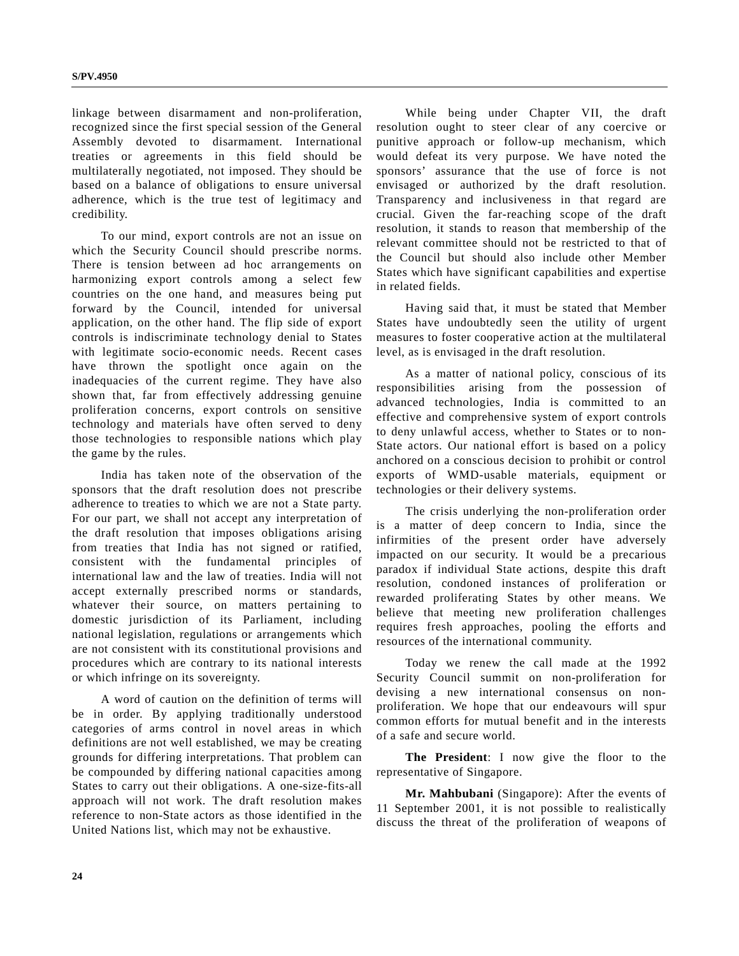linkage between disarmament and non-proliferation, recognized since the first special session of the General Assembly devoted to disarmament. International treaties or agreements in this field should be multilaterally negotiated, not imposed. They should be based on a balance of obligations to ensure universal adherence, which is the true test of legitimacy and credibility.

To our mind, export controls are not an issue on which the Security Council should prescribe norms. There is tension between ad hoc arrangements on harmonizing export controls among a select few countries on the one hand, and measures being put forward by the Council, intended for universal application, on the other hand. The flip side of export controls is indiscriminate technology denial to States with legitimate socio-economic needs. Recent cases have thrown the spotlight once again on the inadequacies of the current regime. They have also shown that, far from effectively addressing genuine proliferation concerns, export controls on sensitive technology and materials have often served to deny those technologies to responsible nations which play the game by the rules.

India has taken note of the observation of the sponsors that the draft resolution does not prescribe adherence to treaties to which we are not a State party. For our part, we shall not accept any interpretation of the draft resolution that imposes obligations arising from treaties that India has not signed or ratified, consistent with the fundamental principles of international law and the law of treaties. India will not accept externally prescribed norms or standards, whatever their source, on matters pertaining to domestic jurisdiction of its Parliament, including national legislation, regulations or arrangements which are not consistent with its constitutional provisions and procedures which are contrary to its national interests or which infringe on its sovereignty.

A word of caution on the definition of terms will be in order. By applying traditionally understood categories of arms control in novel areas in which definitions are not well established, we may be creating grounds for differing interpretations. That problem can be compounded by differing national capacities among States to carry out their obligations. A one-size-fits-all approach will not work. The draft resolution makes reference to non-State actors as those identified in the United Nations list, which may not be exhaustive.

While being under Chapter VII, the draft resolution ought to steer clear of any coercive or punitive approach or follow-up mechanism, which would defeat its very purpose. We have noted the sponsors' assurance that the use of force is not envisaged or authorized by the draft resolution. Transparency and inclusiveness in that regard are crucial. Given the far-reaching scope of the draft resolution, it stands to reason that membership of the relevant committee should not be restricted to that of the Council but should also include other Member States which have significant capabilities and expertise in related fields.

Having said that, it must be stated that Member States have undoubtedly seen the utility of urgent measures to foster cooperative action at the multilateral level, as is envisaged in the draft resolution.

As a matter of national policy, conscious of its responsibilities arising from the possession of advanced technologies, India is committed to an effective and comprehensive system of export controls to deny unlawful access, whether to States or to non-State actors. Our national effort is based on a policy anchored on a conscious decision to prohibit or control exports of WMD-usable materials, equipment or technologies or their delivery systems.

The crisis underlying the non-proliferation order is a matter of deep concern to India, since the infirmities of the present order have adversely impacted on our security. It would be a precarious paradox if individual State actions, despite this draft resolution, condoned instances of proliferation or rewarded proliferating States by other means. We believe that meeting new proliferation challenges requires fresh approaches, pooling the efforts and resources of the international community.

Today we renew the call made at the 1992 Security Council summit on non-proliferation for devising a new international consensus on nonproliferation. We hope that our endeavours will spur common efforts for mutual benefit and in the interests of a safe and secure world.

**The President**: I now give the floor to the representative of Singapore.

**Mr. Mahbubani** (Singapore): After the events of 11 September 2001, it is not possible to realistically discuss the threat of the proliferation of weapons of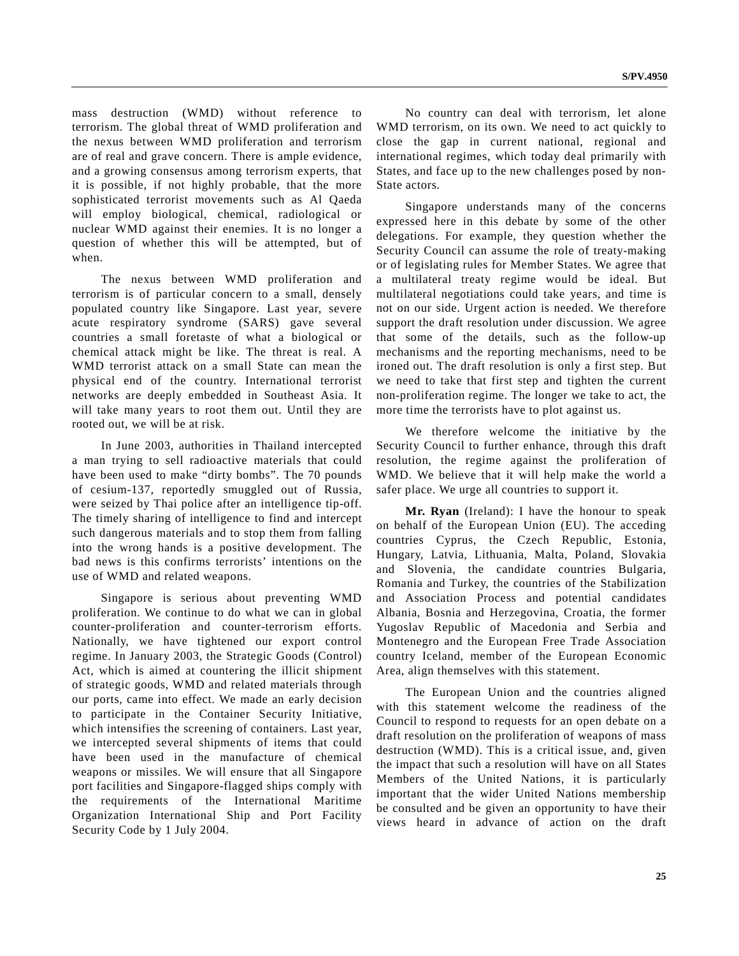mass destruction (WMD) without reference to terrorism. The global threat of WMD proliferation and the nexus between WMD proliferation and terrorism are of real and grave concern. There is ample evidence, and a growing consensus among terrorism experts, that it is possible, if not highly probable, that the more sophisticated terrorist movements such as Al Qaeda will employ biological, chemical, radiological or nuclear WMD against their enemies. It is no longer a question of whether this will be attempted, but of when.

The nexus between WMD proliferation and terrorism is of particular concern to a small, densely populated country like Singapore. Last year, severe acute respiratory syndrome (SARS) gave several countries a small foretaste of what a biological or chemical attack might be like. The threat is real. A WMD terrorist attack on a small State can mean the physical end of the country. International terrorist networks are deeply embedded in Southeast Asia. It will take many years to root them out. Until they are rooted out, we will be at risk.

In June 2003, authorities in Thailand intercepted a man trying to sell radioactive materials that could have been used to make "dirty bombs". The 70 pounds of cesium-137, reportedly smuggled out of Russia, were seized by Thai police after an intelligence tip-off. The timely sharing of intelligence to find and intercept such dangerous materials and to stop them from falling into the wrong hands is a positive development. The bad news is this confirms terrorists' intentions on the use of WMD and related weapons.

Singapore is serious about preventing WMD proliferation. We continue to do what we can in global counter-proliferation and counter-terrorism efforts. Nationally, we have tightened our export control regime. In January 2003, the Strategic Goods (Control) Act, which is aimed at countering the illicit shipment of strategic goods, WMD and related materials through our ports, came into effect. We made an early decision to participate in the Container Security Initiative, which intensifies the screening of containers. Last year, we intercepted several shipments of items that could have been used in the manufacture of chemical weapons or missiles. We will ensure that all Singapore port facilities and Singapore-flagged ships comply with the requirements of the International Maritime Organization International Ship and Port Facility Security Code by 1 July 2004.

No country can deal with terrorism, let alone WMD terrorism, on its own. We need to act quickly to close the gap in current national, regional and international regimes, which today deal primarily with States, and face up to the new challenges posed by non-State actors.

Singapore understands many of the concerns expressed here in this debate by some of the other delegations. For example, they question whether the Security Council can assume the role of treaty-making or of legislating rules for Member States. We agree that a multilateral treaty regime would be ideal. But multilateral negotiations could take years, and time is not on our side. Urgent action is needed. We therefore support the draft resolution under discussion. We agree that some of the details, such as the follow-up mechanisms and the reporting mechanisms, need to be ironed out. The draft resolution is only a first step. But we need to take that first step and tighten the current non-proliferation regime. The longer we take to act, the more time the terrorists have to plot against us.

We therefore welcome the initiative by the Security Council to further enhance, through this draft resolution, the regime against the proliferation of WMD. We believe that it will help make the world a safer place. We urge all countries to support it.

**Mr. Ryan** (Ireland): I have the honour to speak on behalf of the European Union (EU). The acceding countries Cyprus, the Czech Republic, Estonia, Hungary, Latvia, Lithuania, Malta, Poland, Slovakia and Slovenia, the candidate countries Bulgaria, Romania and Turkey, the countries of the Stabilization and Association Process and potential candidates Albania, Bosnia and Herzegovina, Croatia, the former Yugoslav Republic of Macedonia and Serbia and Montenegro and the European Free Trade Association country Iceland, member of the European Economic Area, align themselves with this statement.

The European Union and the countries aligned with this statement welcome the readiness of the Council to respond to requests for an open debate on a draft resolution on the proliferation of weapons of mass destruction (WMD). This is a critical issue, and, given the impact that such a resolution will have on all States Members of the United Nations, it is particularly important that the wider United Nations membership be consulted and be given an opportunity to have their views heard in advance of action on the draft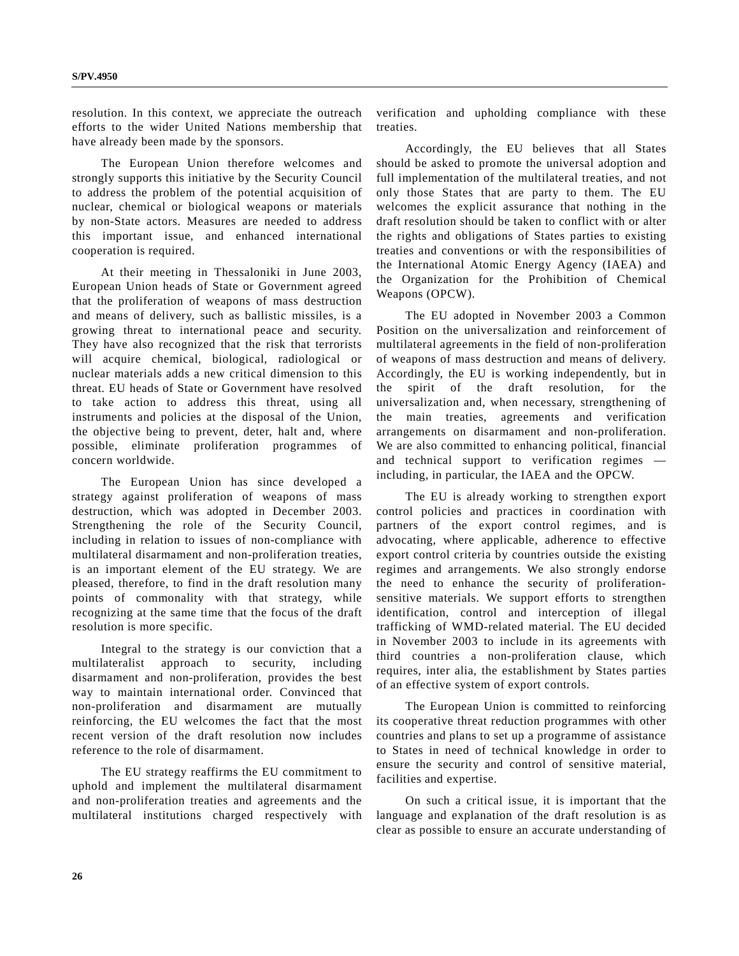resolution. In this context, we appreciate the outreach efforts to the wider United Nations membership that have already been made by the sponsors.

The European Union therefore welcomes and strongly supports this initiative by the Security Council to address the problem of the potential acquisition of nuclear, chemical or biological weapons or materials by non-State actors. Measures are needed to address this important issue, and enhanced international cooperation is required.

At their meeting in Thessaloniki in June 2003, European Union heads of State or Government agreed that the proliferation of weapons of mass destruction and means of delivery, such as ballistic missiles, is a growing threat to international peace and security. They have also recognized that the risk that terrorists will acquire chemical, biological, radiological or nuclear materials adds a new critical dimension to this threat. EU heads of State or Government have resolved to take action to address this threat, using all instruments and policies at the disposal of the Union, the objective being to prevent, deter, halt and, where possible, eliminate proliferation programmes of concern worldwide.

The European Union has since developed a strategy against proliferation of weapons of mass destruction, which was adopted in December 2003. Strengthening the role of the Security Council, including in relation to issues of non-compliance with multilateral disarmament and non-proliferation treaties, is an important element of the EU strategy. We are pleased, therefore, to find in the draft resolution many points of commonality with that strategy, while recognizing at the same time that the focus of the draft resolution is more specific.

Integral to the strategy is our conviction that a multilateralist approach to security, including disarmament and non-proliferation, provides the best way to maintain international order. Convinced that non-proliferation and disarmament are mutually reinforcing, the EU welcomes the fact that the most recent version of the draft resolution now includes reference to the role of disarmament.

The EU strategy reaffirms the EU commitment to uphold and implement the multilateral disarmament and non-proliferation treaties and agreements and the multilateral institutions charged respectively with verification and upholding compliance with these treaties.

Accordingly, the EU believes that all States should be asked to promote the universal adoption and full implementation of the multilateral treaties, and not only those States that are party to them. The EU welcomes the explicit assurance that nothing in the draft resolution should be taken to conflict with or alter the rights and obligations of States parties to existing treaties and conventions or with the responsibilities of the International Atomic Energy Agency (IAEA) and the Organization for the Prohibition of Chemical Weapons (OPCW).

The EU adopted in November 2003 a Common Position on the universalization and reinforcement of multilateral agreements in the field of non-proliferation of weapons of mass destruction and means of delivery. Accordingly, the EU is working independently, but in the spirit of the draft resolution, for the universalization and, when necessary, strengthening of the main treaties, agreements and verification arrangements on disarmament and non-proliferation. We are also committed to enhancing political, financial and technical support to verification regimes including, in particular, the IAEA and the OPCW.

The EU is already working to strengthen export control policies and practices in coordination with partners of the export control regimes, and is advocating, where applicable, adherence to effective export control criteria by countries outside the existing regimes and arrangements. We also strongly endorse the need to enhance the security of proliferationsensitive materials. We support efforts to strengthen identification, control and interception of illegal trafficking of WMD-related material. The EU decided in November 2003 to include in its agreements with third countries a non-proliferation clause, which requires, inter alia, the establishment by States parties of an effective system of export controls.

The European Union is committed to reinforcing its cooperative threat reduction programmes with other countries and plans to set up a programme of assistance to States in need of technical knowledge in order to ensure the security and control of sensitive material, facilities and expertise.

On such a critical issue, it is important that the language and explanation of the draft resolution is as clear as possible to ensure an accurate understanding of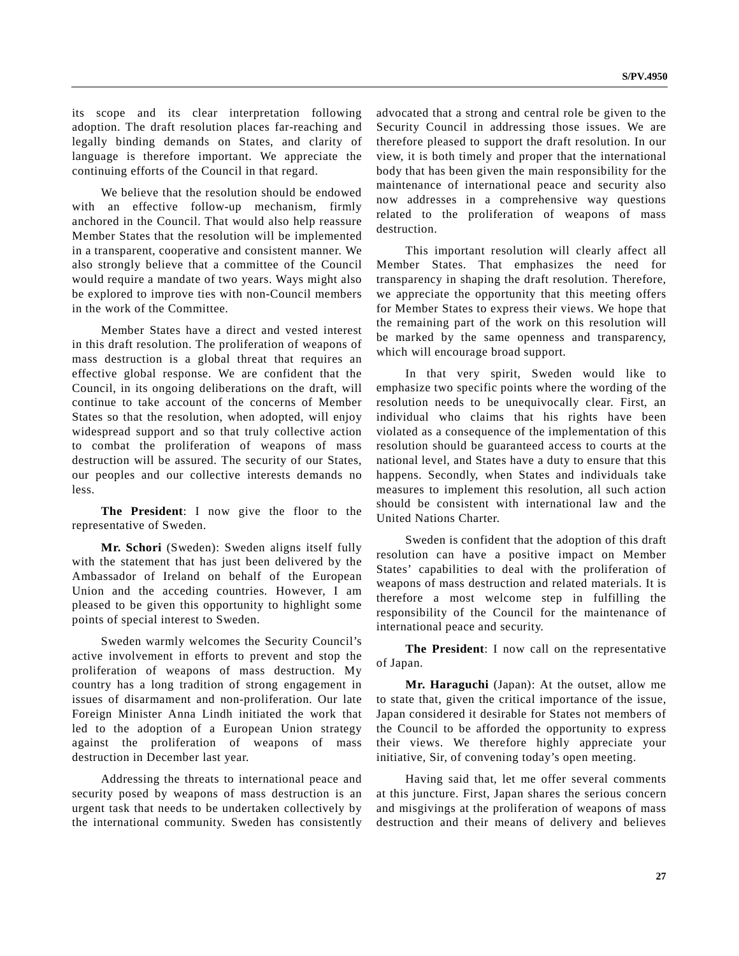its scope and its clear interpretation following adoption. The draft resolution places far-reaching and legally binding demands on States, and clarity of language is therefore important. We appreciate the continuing efforts of the Council in that regard.

We believe that the resolution should be endowed with an effective follow-up mechanism, firmly anchored in the Council. That would also help reassure Member States that the resolution will be implemented in a transparent, cooperative and consistent manner. We also strongly believe that a committee of the Council would require a mandate of two years. Ways might also be explored to improve ties with non-Council members in the work of the Committee.

Member States have a direct and vested interest in this draft resolution. The proliferation of weapons of mass destruction is a global threat that requires an effective global response. We are confident that the Council, in its ongoing deliberations on the draft, will continue to take account of the concerns of Member States so that the resolution, when adopted, will enjoy widespread support and so that truly collective action to combat the proliferation of weapons of mass destruction will be assured. The security of our States, our peoples and our collective interests demands no less.

**The President**: I now give the floor to the representative of Sweden.

**Mr. Schori** (Sweden): Sweden aligns itself fully with the statement that has just been delivered by the Ambassador of Ireland on behalf of the European Union and the acceding countries. However, I am pleased to be given this opportunity to highlight some points of special interest to Sweden.

Sweden warmly welcomes the Security Council's active involvement in efforts to prevent and stop the proliferation of weapons of mass destruction. My country has a long tradition of strong engagement in issues of disarmament and non-proliferation. Our late Foreign Minister Anna Lindh initiated the work that led to the adoption of a European Union strategy against the proliferation of weapons of mass destruction in December last year.

Addressing the threats to international peace and security posed by weapons of mass destruction is an urgent task that needs to be undertaken collectively by the international community. Sweden has consistently advocated that a strong and central role be given to the Security Council in addressing those issues. We are therefore pleased to support the draft resolution. In our view, it is both timely and proper that the international body that has been given the main responsibility for the maintenance of international peace and security also now addresses in a comprehensive way questions related to the proliferation of weapons of mass destruction.

This important resolution will clearly affect all Member States. That emphasizes the need for transparency in shaping the draft resolution. Therefore, we appreciate the opportunity that this meeting offers for Member States to express their views. We hope that the remaining part of the work on this resolution will be marked by the same openness and transparency, which will encourage broad support.

In that very spirit, Sweden would like to emphasize two specific points where the wording of the resolution needs to be unequivocally clear. First, an individual who claims that his rights have been violated as a consequence of the implementation of this resolution should be guaranteed access to courts at the national level, and States have a duty to ensure that this happens. Secondly, when States and individuals take measures to implement this resolution, all such action should be consistent with international law and the United Nations Charter.

Sweden is confident that the adoption of this draft resolution can have a positive impact on Member States' capabilities to deal with the proliferation of weapons of mass destruction and related materials. It is therefore a most welcome step in fulfilling the responsibility of the Council for the maintenance of international peace and security.

**The President**: I now call on the representative of Japan.

**Mr. Haraguchi** (Japan): At the outset, allow me to state that, given the critical importance of the issue, Japan considered it desirable for States not members of the Council to be afforded the opportunity to express their views. We therefore highly appreciate your initiative, Sir, of convening today's open meeting.

Having said that, let me offer several comments at this juncture. First, Japan shares the serious concern and misgivings at the proliferation of weapons of mass destruction and their means of delivery and believes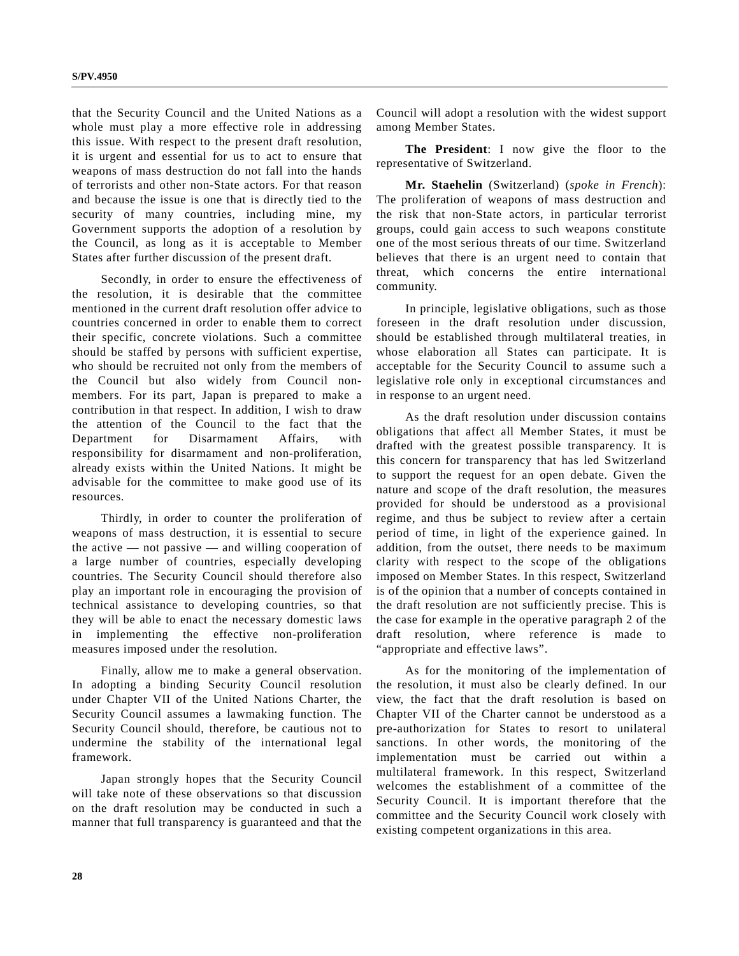that the Security Council and the United Nations as a whole must play a more effective role in addressing this issue. With respect to the present draft resolution, it is urgent and essential for us to act to ensure that weapons of mass destruction do not fall into the hands of terrorists and other non-State actors. For that reason and because the issue is one that is directly tied to the security of many countries, including mine, my Government supports the adoption of a resolution by the Council, as long as it is acceptable to Member States after further discussion of the present draft.

Secondly, in order to ensure the effectiveness of the resolution, it is desirable that the committee mentioned in the current draft resolution offer advice to countries concerned in order to enable them to correct their specific, concrete violations. Such a committee should be staffed by persons with sufficient expertise, who should be recruited not only from the members of the Council but also widely from Council nonmembers. For its part, Japan is prepared to make a contribution in that respect. In addition, I wish to draw the attention of the Council to the fact that the Department for Disarmament Affairs, with responsibility for disarmament and non-proliferation, already exists within the United Nations. It might be advisable for the committee to make good use of its resources.

Thirdly, in order to counter the proliferation of weapons of mass destruction, it is essential to secure the active — not passive — and willing cooperation of a large number of countries, especially developing countries. The Security Council should therefore also play an important role in encouraging the provision of technical assistance to developing countries, so that they will be able to enact the necessary domestic laws in implementing the effective non-proliferation measures imposed under the resolution.

Finally, allow me to make a general observation. In adopting a binding Security Council resolution under Chapter VII of the United Nations Charter, the Security Council assumes a lawmaking function. The Security Council should, therefore, be cautious not to undermine the stability of the international legal framework.

Japan strongly hopes that the Security Council will take note of these observations so that discussion on the draft resolution may be conducted in such a manner that full transparency is guaranteed and that the

Council will adopt a resolution with the widest support among Member States.

**The President**: I now give the floor to the representative of Switzerland.

**Mr. Staehelin** (Switzerland) (*spoke in French*): The proliferation of weapons of mass destruction and the risk that non-State actors, in particular terrorist groups, could gain access to such weapons constitute one of the most serious threats of our time. Switzerland believes that there is an urgent need to contain that threat, which concerns the entire international community.

In principle, legislative obligations, such as those foreseen in the draft resolution under discussion, should be established through multilateral treaties, in whose elaboration all States can participate. It is acceptable for the Security Council to assume such a legislative role only in exceptional circumstances and in response to an urgent need.

As the draft resolution under discussion contains obligations that affect all Member States, it must be drafted with the greatest possible transparency. It is this concern for transparency that has led Switzerland to support the request for an open debate. Given the nature and scope of the draft resolution, the measures provided for should be understood as a provisional regime, and thus be subject to review after a certain period of time, in light of the experience gained. In addition, from the outset, there needs to be maximum clarity with respect to the scope of the obligations imposed on Member States. In this respect, Switzerland is of the opinion that a number of concepts contained in the draft resolution are not sufficiently precise. This is the case for example in the operative paragraph 2 of the draft resolution, where reference is made to "appropriate and effective laws".

As for the monitoring of the implementation of the resolution, it must also be clearly defined. In our view, the fact that the draft resolution is based on Chapter VII of the Charter cannot be understood as a pre-authorization for States to resort to unilateral sanctions. In other words, the monitoring of the implementation must be carried out within a multilateral framework. In this respect, Switzerland welcomes the establishment of a committee of the Security Council. It is important therefore that the committee and the Security Council work closely with existing competent organizations in this area.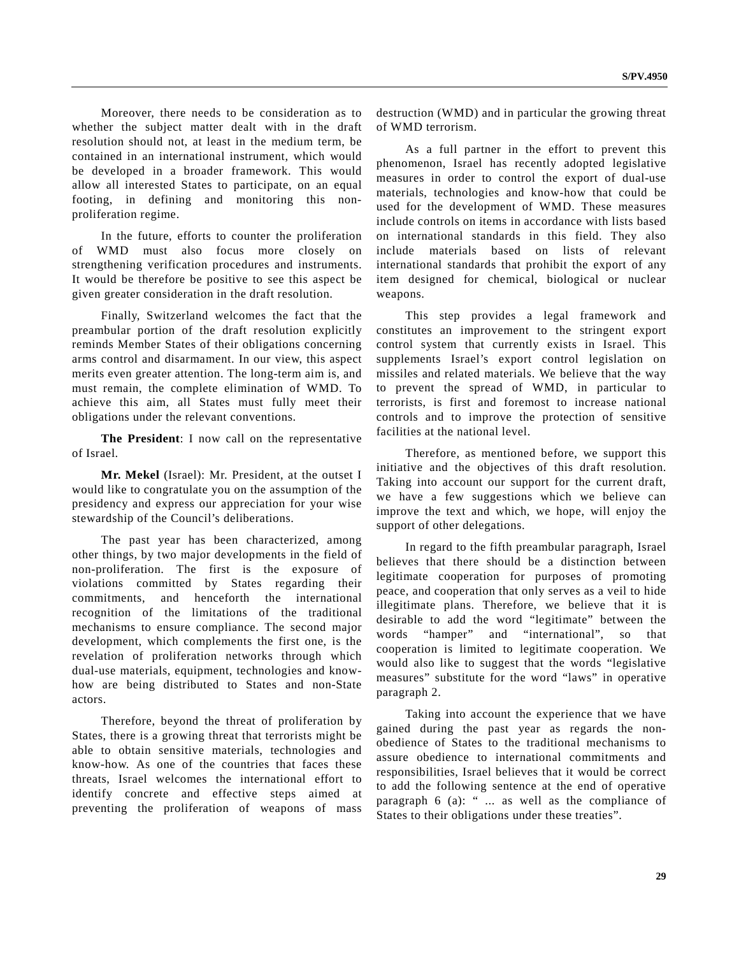Moreover, there needs to be consideration as to whether the subject matter dealt with in the draft resolution should not, at least in the medium term, be contained in an international instrument, which would be developed in a broader framework. This would allow all interested States to participate, on an equal footing, in defining and monitoring this nonproliferation regime.

In the future, efforts to counter the proliferation of WMD must also focus more closely on strengthening verification procedures and instruments. It would be therefore be positive to see this aspect be given greater consideration in the draft resolution.

Finally, Switzerland welcomes the fact that the preambular portion of the draft resolution explicitly reminds Member States of their obligations concerning arms control and disarmament. In our view, this aspect merits even greater attention. The long-term aim is, and must remain, the complete elimination of WMD. To achieve this aim, all States must fully meet their obligations under the relevant conventions.

**The President**: I now call on the representative of Israel.

**Mr. Mekel** (Israel): Mr. President, at the outset I would like to congratulate you on the assumption of the presidency and express our appreciation for your wise stewardship of the Council's deliberations.

The past year has been characterized, among other things, by two major developments in the field of non-proliferation. The first is the exposure of violations committed by States regarding their commitments, and henceforth the international recognition of the limitations of the traditional mechanisms to ensure compliance. The second major development, which complements the first one, is the revelation of proliferation networks through which dual-use materials, equipment, technologies and knowhow are being distributed to States and non-State actors.

Therefore, beyond the threat of proliferation by States, there is a growing threat that terrorists might be able to obtain sensitive materials, technologies and know-how. As one of the countries that faces these threats, Israel welcomes the international effort to identify concrete and effective steps aimed at preventing the proliferation of weapons of mass

destruction (WMD) and in particular the growing threat of WMD terrorism.

As a full partner in the effort to prevent this phenomenon, Israel has recently adopted legislative measures in order to control the export of dual-use materials, technologies and know-how that could be used for the development of WMD. These measures include controls on items in accordance with lists based on international standards in this field. They also include materials based on lists of relevant international standards that prohibit the export of any item designed for chemical, biological or nuclear weapons.

This step provides a legal framework and constitutes an improvement to the stringent export control system that currently exists in Israel. This supplements Israel's export control legislation on missiles and related materials. We believe that the way to prevent the spread of WMD, in particular to terrorists, is first and foremost to increase national controls and to improve the protection of sensitive facilities at the national level.

Therefore, as mentioned before, we support this initiative and the objectives of this draft resolution. Taking into account our support for the current draft, we have a few suggestions which we believe can improve the text and which, we hope, will enjoy the support of other delegations.

In regard to the fifth preambular paragraph, Israel believes that there should be a distinction between legitimate cooperation for purposes of promoting peace, and cooperation that only serves as a veil to hide illegitimate plans. Therefore, we believe that it is desirable to add the word "legitimate" between the words "hamper" and "international", so that cooperation is limited to legitimate cooperation. We would also like to suggest that the words "legislative measures" substitute for the word "laws" in operative paragraph 2.

Taking into account the experience that we have gained during the past year as regards the nonobedience of States to the traditional mechanisms to assure obedience to international commitments and responsibilities, Israel believes that it would be correct to add the following sentence at the end of operative paragraph 6 (a): " ... as well as the compliance of States to their obligations under these treaties".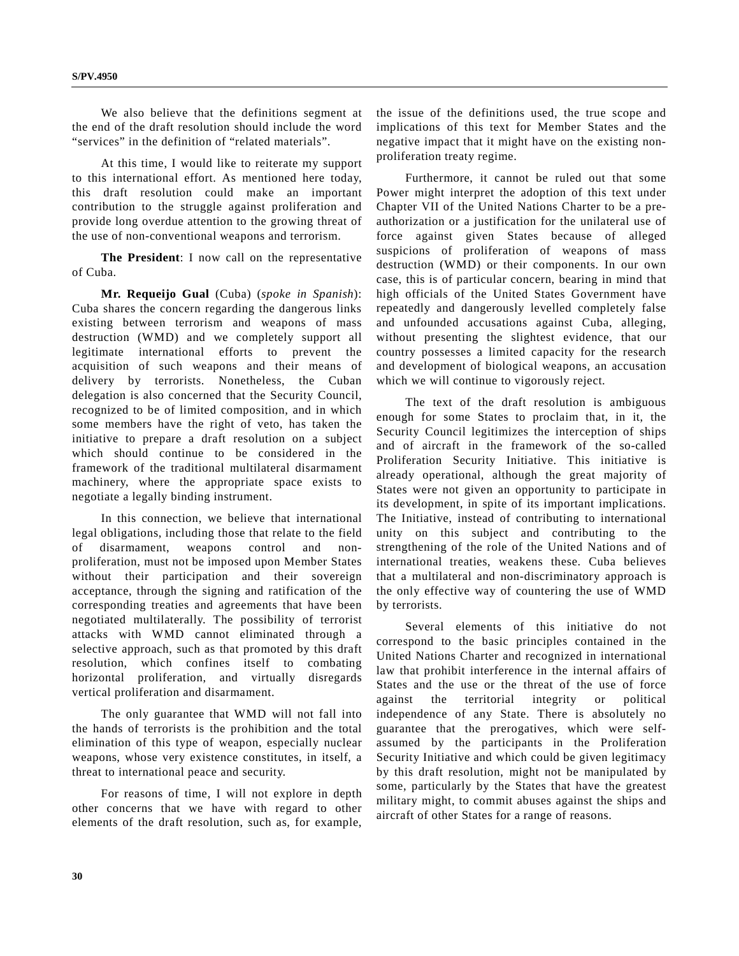We also believe that the definitions segment at the end of the draft resolution should include the word "services" in the definition of "related materials".

At this time, I would like to reiterate my support to this international effort. As mentioned here today, this draft resolution could make an important contribution to the struggle against proliferation and provide long overdue attention to the growing threat of the use of non-conventional weapons and terrorism.

**The President**: I now call on the representative of Cuba.

**Mr. Requeijo Gual** (Cuba) (*spoke in Spanish*): Cuba shares the concern regarding the dangerous links existing between terrorism and weapons of mass destruction (WMD) and we completely support all legitimate international efforts to prevent the acquisition of such weapons and their means of delivery by terrorists. Nonetheless, the Cuban delegation is also concerned that the Security Council, recognized to be of limited composition, and in which some members have the right of veto, has taken the initiative to prepare a draft resolution on a subject which should continue to be considered in the framework of the traditional multilateral disarmament machinery, where the appropriate space exists to negotiate a legally binding instrument.

In this connection, we believe that international legal obligations, including those that relate to the field of disarmament, weapons control and nonproliferation, must not be imposed upon Member States without their participation and their sovereign acceptance, through the signing and ratification of the corresponding treaties and agreements that have been negotiated multilaterally. The possibility of terrorist attacks with WMD cannot eliminated through a selective approach, such as that promoted by this draft resolution, which confines itself to combating horizontal proliferation, and virtually disregards vertical proliferation and disarmament.

The only guarantee that WMD will not fall into the hands of terrorists is the prohibition and the total elimination of this type of weapon, especially nuclear weapons, whose very existence constitutes, in itself, a threat to international peace and security.

For reasons of time, I will not explore in depth other concerns that we have with regard to other elements of the draft resolution, such as, for example,

the issue of the definitions used, the true scope and implications of this text for Member States and the negative impact that it might have on the existing nonproliferation treaty regime.

Furthermore, it cannot be ruled out that some Power might interpret the adoption of this text under Chapter VII of the United Nations Charter to be a preauthorization or a justification for the unilateral use of force against given States because of alleged suspicions of proliferation of weapons of mass destruction (WMD) or their components. In our own case, this is of particular concern, bearing in mind that high officials of the United States Government have repeatedly and dangerously levelled completely false and unfounded accusations against Cuba, alleging, without presenting the slightest evidence, that our country possesses a limited capacity for the research and development of biological weapons, an accusation which we will continue to vigorously reject.

The text of the draft resolution is ambiguous enough for some States to proclaim that, in it, the Security Council legitimizes the interception of ships and of aircraft in the framework of the so-called Proliferation Security Initiative. This initiative is already operational, although the great majority of States were not given an opportunity to participate in its development, in spite of its important implications. The Initiative, instead of contributing to international unity on this subject and contributing to the strengthening of the role of the United Nations and of international treaties, weakens these. Cuba believes that a multilateral and non-discriminatory approach is the only effective way of countering the use of WMD by terrorists.

Several elements of this initiative do not correspond to the basic principles contained in the United Nations Charter and recognized in international law that prohibit interference in the internal affairs of States and the use or the threat of the use of force against the territorial integrity or political independence of any State. There is absolutely no guarantee that the prerogatives, which were selfassumed by the participants in the Proliferation Security Initiative and which could be given legitimacy by this draft resolution, might not be manipulated by some, particularly by the States that have the greatest military might, to commit abuses against the ships and aircraft of other States for a range of reasons.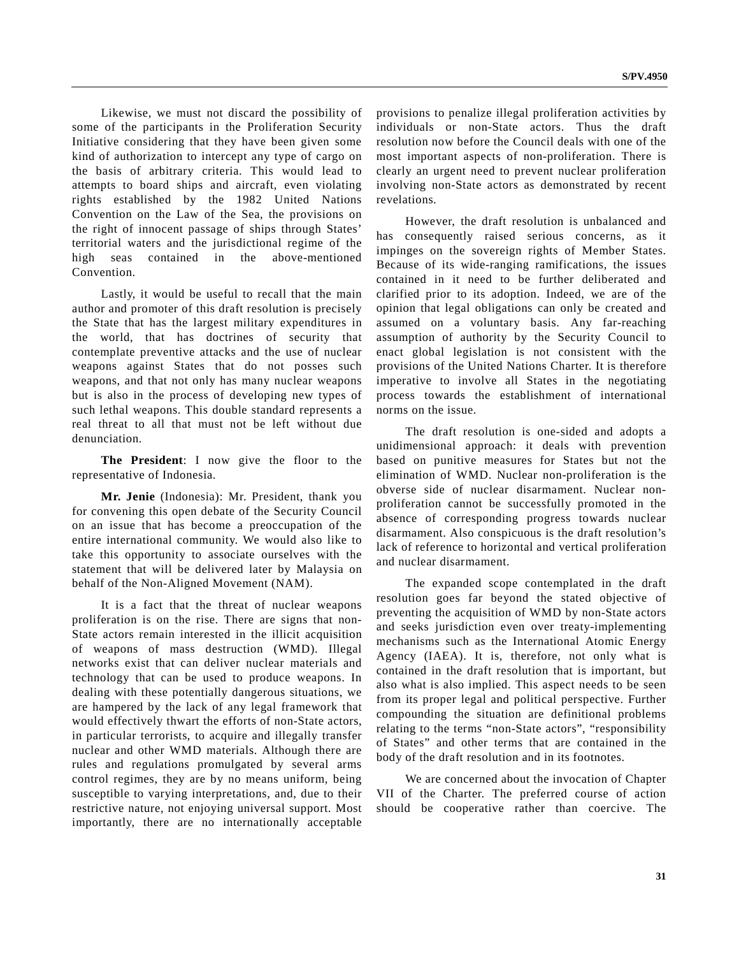Likewise, we must not discard the possibility of some of the participants in the Proliferation Security Initiative considering that they have been given some kind of authorization to intercept any type of cargo on the basis of arbitrary criteria. This would lead to attempts to board ships and aircraft, even violating rights established by the 1982 United Nations Convention on the Law of the Sea, the provisions on the right of innocent passage of ships through States' territorial waters and the jurisdictional regime of the high seas contained in the above-mentioned Convention.

Lastly, it would be useful to recall that the main author and promoter of this draft resolution is precisely the State that has the largest military expenditures in the world, that has doctrines of security that contemplate preventive attacks and the use of nuclear weapons against States that do not posses such weapons, and that not only has many nuclear weapons but is also in the process of developing new types of such lethal weapons. This double standard represents a real threat to all that must not be left without due denunciation.

**The President**: I now give the floor to the representative of Indonesia.

**Mr. Jenie** (Indonesia): Mr. President, thank you for convening this open debate of the Security Council on an issue that has become a preoccupation of the entire international community. We would also like to take this opportunity to associate ourselves with the statement that will be delivered later by Malaysia on behalf of the Non-Aligned Movement (NAM).

It is a fact that the threat of nuclear weapons proliferation is on the rise. There are signs that non-State actors remain interested in the illicit acquisition of weapons of mass destruction (WMD). Illegal networks exist that can deliver nuclear materials and technology that can be used to produce weapons. In dealing with these potentially dangerous situations, we are hampered by the lack of any legal framework that would effectively thwart the efforts of non-State actors, in particular terrorists, to acquire and illegally transfer nuclear and other WMD materials. Although there are rules and regulations promulgated by several arms control regimes, they are by no means uniform, being susceptible to varying interpretations, and, due to their restrictive nature, not enjoying universal support. Most importantly, there are no internationally acceptable

provisions to penalize illegal proliferation activities by individuals or non-State actors. Thus the draft resolution now before the Council deals with one of the most important aspects of non-proliferation. There is clearly an urgent need to prevent nuclear proliferation involving non-State actors as demonstrated by recent revelations.

However, the draft resolution is unbalanced and has consequently raised serious concerns, as it impinges on the sovereign rights of Member States. Because of its wide-ranging ramifications, the issues contained in it need to be further deliberated and clarified prior to its adoption. Indeed, we are of the opinion that legal obligations can only be created and assumed on a voluntary basis. Any far-reaching assumption of authority by the Security Council to enact global legislation is not consistent with the provisions of the United Nations Charter. It is therefore imperative to involve all States in the negotiating process towards the establishment of international norms on the issue.

The draft resolution is one-sided and adopts a unidimensional approach: it deals with prevention based on punitive measures for States but not the elimination of WMD. Nuclear non-proliferation is the obverse side of nuclear disarmament. Nuclear nonproliferation cannot be successfully promoted in the absence of corresponding progress towards nuclear disarmament. Also conspicuous is the draft resolution's lack of reference to horizontal and vertical proliferation and nuclear disarmament.

The expanded scope contemplated in the draft resolution goes far beyond the stated objective of preventing the acquisition of WMD by non-State actors and seeks jurisdiction even over treaty-implementing mechanisms such as the International Atomic Energy Agency (IAEA). It is, therefore, not only what is contained in the draft resolution that is important, but also what is also implied. This aspect needs to be seen from its proper legal and political perspective. Further compounding the situation are definitional problems relating to the terms "non-State actors", "responsibility of States" and other terms that are contained in the body of the draft resolution and in its footnotes.

We are concerned about the invocation of Chapter VII of the Charter. The preferred course of action should be cooperative rather than coercive. The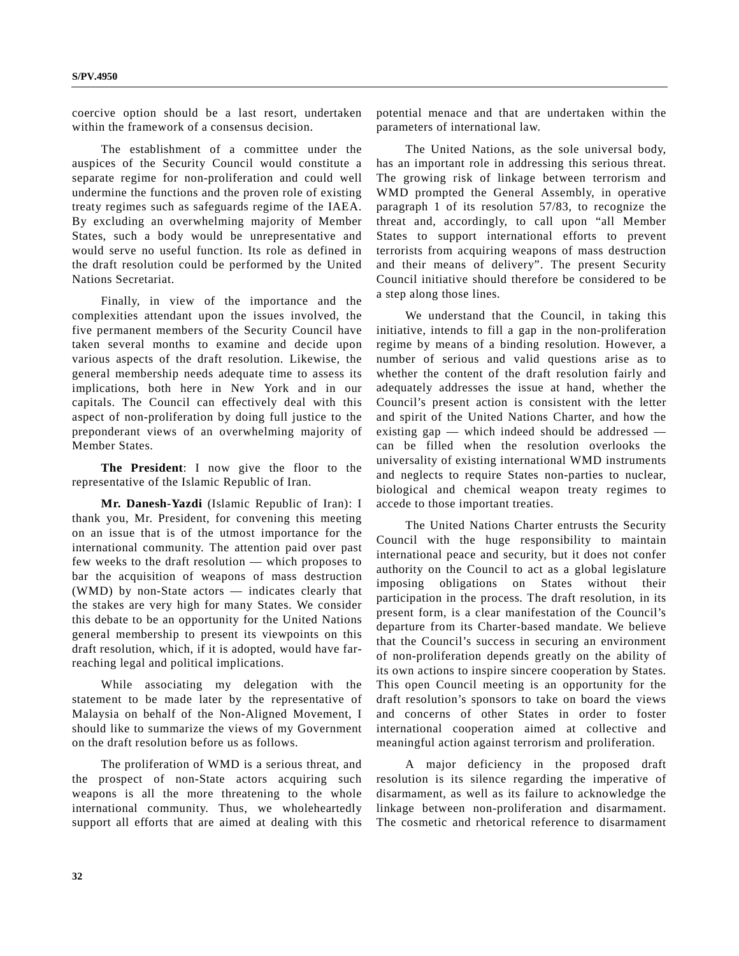coercive option should be a last resort, undertaken within the framework of a consensus decision.

The establishment of a committee under the auspices of the Security Council would constitute a separate regime for non-proliferation and could well undermine the functions and the proven role of existing treaty regimes such as safeguards regime of the IAEA. By excluding an overwhelming majority of Member States, such a body would be unrepresentative and would serve no useful function. Its role as defined in the draft resolution could be performed by the United Nations Secretariat.

Finally, in view of the importance and the complexities attendant upon the issues involved, the five permanent members of the Security Council have taken several months to examine and decide upon various aspects of the draft resolution. Likewise, the general membership needs adequate time to assess its implications, both here in New York and in our capitals. The Council can effectively deal with this aspect of non-proliferation by doing full justice to the preponderant views of an overwhelming majority of Member States.

**The President**: I now give the floor to the representative of the Islamic Republic of Iran.

**Mr. Danesh-Yazdi** (Islamic Republic of Iran): I thank you, Mr. President, for convening this meeting on an issue that is of the utmost importance for the international community. The attention paid over past few weeks to the draft resolution — which proposes to bar the acquisition of weapons of mass destruction (WMD) by non-State actors — indicates clearly that the stakes are very high for many States. We consider this debate to be an opportunity for the United Nations general membership to present its viewpoints on this draft resolution, which, if it is adopted, would have farreaching legal and political implications.

While associating my delegation with the statement to be made later by the representative of Malaysia on behalf of the Non-Aligned Movement, I should like to summarize the views of my Government on the draft resolution before us as follows.

The proliferation of WMD is a serious threat, and the prospect of non-State actors acquiring such weapons is all the more threatening to the whole international community. Thus, we wholeheartedly support all efforts that are aimed at dealing with this potential menace and that are undertaken within the parameters of international law.

The United Nations, as the sole universal body, has an important role in addressing this serious threat. The growing risk of linkage between terrorism and WMD prompted the General Assembly, in operative paragraph 1 of its resolution 57/83, to recognize the threat and, accordingly, to call upon "all Member States to support international efforts to prevent terrorists from acquiring weapons of mass destruction and their means of delivery". The present Security Council initiative should therefore be considered to be a step along those lines.

We understand that the Council, in taking this initiative, intends to fill a gap in the non-proliferation regime by means of a binding resolution. However, a number of serious and valid questions arise as to whether the content of the draft resolution fairly and adequately addresses the issue at hand, whether the Council's present action is consistent with the letter and spirit of the United Nations Charter, and how the existing gap — which indeed should be addressed can be filled when the resolution overlooks the universality of existing international WMD instruments and neglects to require States non-parties to nuclear, biological and chemical weapon treaty regimes to accede to those important treaties.

The United Nations Charter entrusts the Security Council with the huge responsibility to maintain international peace and security, but it does not confer authority on the Council to act as a global legislature imposing obligations on States without their participation in the process. The draft resolution, in its present form, is a clear manifestation of the Council's departure from its Charter-based mandate. We believe that the Council's success in securing an environment of non-proliferation depends greatly on the ability of its own actions to inspire sincere cooperation by States. This open Council meeting is an opportunity for the draft resolution's sponsors to take on board the views and concerns of other States in order to foster international cooperation aimed at collective and meaningful action against terrorism and proliferation.

A major deficiency in the proposed draft resolution is its silence regarding the imperative of disarmament, as well as its failure to acknowledge the linkage between non-proliferation and disarmament. The cosmetic and rhetorical reference to disarmament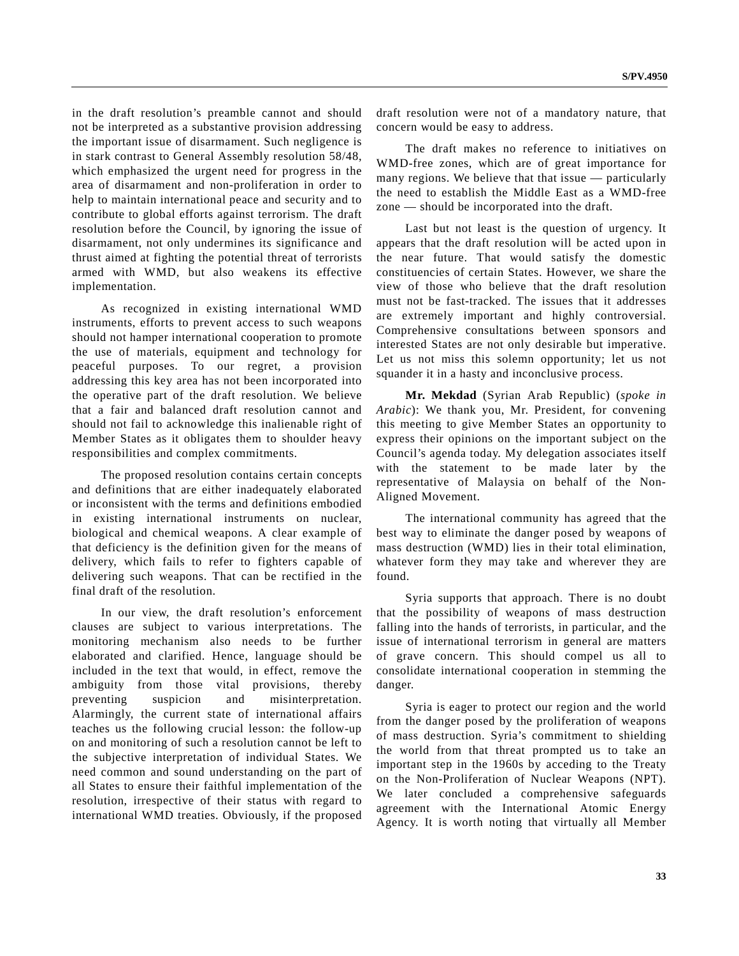in the draft resolution's preamble cannot and should not be interpreted as a substantive provision addressing the important issue of disarmament. Such negligence is in stark contrast to General Assembly resolution 58/48, which emphasized the urgent need for progress in the area of disarmament and non-proliferation in order to help to maintain international peace and security and to contribute to global efforts against terrorism. The draft resolution before the Council, by ignoring the issue of disarmament, not only undermines its significance and thrust aimed at fighting the potential threat of terrorists armed with WMD, but also weakens its effective implementation.

As recognized in existing international WMD instruments, efforts to prevent access to such weapons should not hamper international cooperation to promote the use of materials, equipment and technology for peaceful purposes. To our regret, a provision addressing this key area has not been incorporated into the operative part of the draft resolution. We believe that a fair and balanced draft resolution cannot and should not fail to acknowledge this inalienable right of Member States as it obligates them to shoulder heavy responsibilities and complex commitments.

The proposed resolution contains certain concepts and definitions that are either inadequately elaborated or inconsistent with the terms and definitions embodied in existing international instruments on nuclear, biological and chemical weapons. A clear example of that deficiency is the definition given for the means of delivery, which fails to refer to fighters capable of delivering such weapons. That can be rectified in the final draft of the resolution.

In our view, the draft resolution's enforcement clauses are subject to various interpretations. The monitoring mechanism also needs to be further elaborated and clarified. Hence, language should be included in the text that would, in effect, remove the ambiguity from those vital provisions, thereby preventing suspicion and misinterpretation. Alarmingly, the current state of international affairs teaches us the following crucial lesson: the follow-up on and monitoring of such a resolution cannot be left to the subjective interpretation of individual States. We need common and sound understanding on the part of all States to ensure their faithful implementation of the resolution, irrespective of their status with regard to international WMD treaties. Obviously, if the proposed

draft resolution were not of a mandatory nature, that concern would be easy to address.

The draft makes no reference to initiatives on WMD-free zones, which are of great importance for many regions. We believe that that issue — particularly the need to establish the Middle East as a WMD-free zone — should be incorporated into the draft.

Last but not least is the question of urgency. It appears that the draft resolution will be acted upon in the near future. That would satisfy the domestic constituencies of certain States. However, we share the view of those who believe that the draft resolution must not be fast-tracked. The issues that it addresses are extremely important and highly controversial. Comprehensive consultations between sponsors and interested States are not only desirable but imperative. Let us not miss this solemn opportunity; let us not squander it in a hasty and inconclusive process.

**Mr. Mekdad** (Syrian Arab Republic) (*spoke in Arabic*): We thank you, Mr. President, for convening this meeting to give Member States an opportunity to express their opinions on the important subject on the Council's agenda today. My delegation associates itself with the statement to be made later by the representative of Malaysia on behalf of the Non-Aligned Movement.

The international community has agreed that the best way to eliminate the danger posed by weapons of mass destruction (WMD) lies in their total elimination, whatever form they may take and wherever they are found.

Syria supports that approach. There is no doubt that the possibility of weapons of mass destruction falling into the hands of terrorists, in particular, and the issue of international terrorism in general are matters of grave concern. This should compel us all to consolidate international cooperation in stemming the danger.

Syria is eager to protect our region and the world from the danger posed by the proliferation of weapons of mass destruction. Syria's commitment to shielding the world from that threat prompted us to take an important step in the 1960s by acceding to the Treaty on the Non-Proliferation of Nuclear Weapons (NPT). We later concluded a comprehensive safeguards agreement with the International Atomic Energy Agency. It is worth noting that virtually all Member